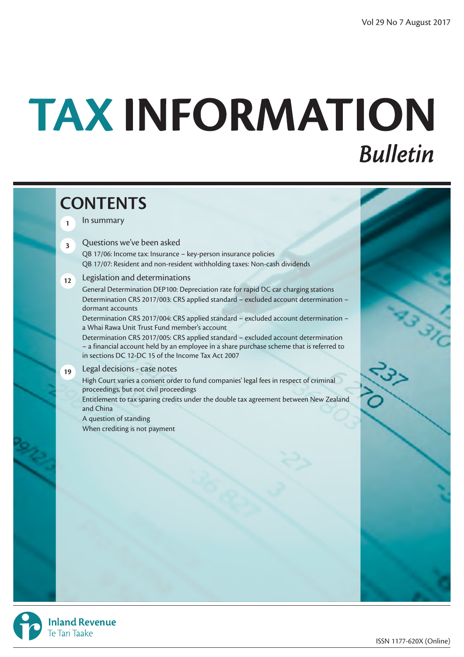# TAX INFORMATION **Bulletin**

# **CONTENTS <sup>1</sup>** In summary **<sup>3</sup>** Questions we've been asked QB 17/06: Income tax: Insurance – key-person insurance policies QB 17/07: Resident and non-resident withholding taxes: Non-cash dividends **12** Legislation and determinations General Determination DEP100: Depreciation rate for rapid DC car charging stations Determination CRS 2017/003: CRS applied standard – excluded account determination – dormant accounts Determination CRS 2017/004: CRS applied standard – excluded account determination – a Whai Rawa Unit Trust Fund member's account Determination CRS 2017/005: CRS applied standard – excluded account determination – a financial account held by an employee in a share purchase scheme that is referred to in sections DC 12-DC 15 of the Income Tax Act 2007 **<sup>19</sup>** Legal decisions - case notes High Court varies a consent order to fund companies' legal fees in respect of criminal proceedings, but not civil proceedings Entitlement to tax sparing credits under the double tax agreement between New Zealand and China A question of standing When crediting is not payment



**Inland Revenue** Te Tari Taake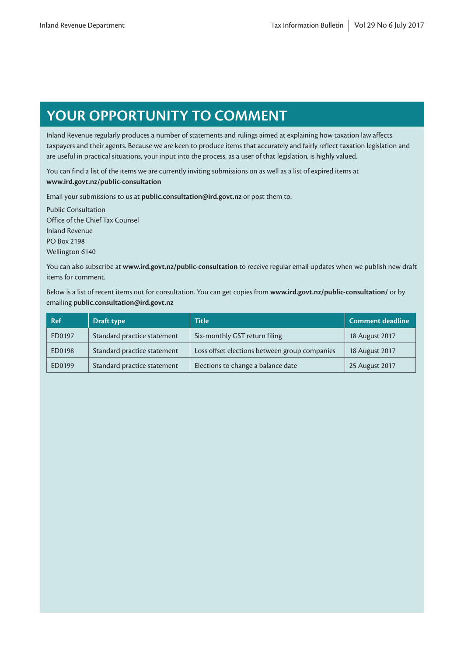# **YOUR OPPORTUNITY TO COMMENT**

Inland Revenue regularly produces a number of statements and rulings aimed at explaining how taxation law affects taxpayers and their agents. Because we are keen to produce items that accurately and fairly reflect taxation legislation and are useful in practical situations, your input into the process, as a user of that legislation, is highly valued.

You can find a list of the items we are currently inviting submissions on as well as a list of expired items at **www.ird.govt.nz/public-consultation**

Email your submissions to us at **public.consultation@ird.govt.nz** or post them to:

Public Consultation Office of the Chief Tax Counsel Inland Revenue PO Box 2198 Wellington 6140

You can also subscribe at **www.ird.govt.nz/public-consultation** to receive regular email updates when we publish new draft items for comment.

Below is a list of recent items out for consultation. You can get copies from **www.ird.govt.nz/public-consultation/** or by emailing **public.consultation@ird.govt.nz**

| <b>Ref</b> | Draft type                  | <b>Title</b>                                  | <b>Comment deadline</b> |
|------------|-----------------------------|-----------------------------------------------|-------------------------|
| ED0197     | Standard practice statement | Six-monthly GST return filing                 | 18 August 2017          |
| ED0198     | Standard practice statement | Loss offset elections between group companies | 18 August 2017          |
| ED0199     | Standard practice statement | Elections to change a balance date            | 25 August 2017          |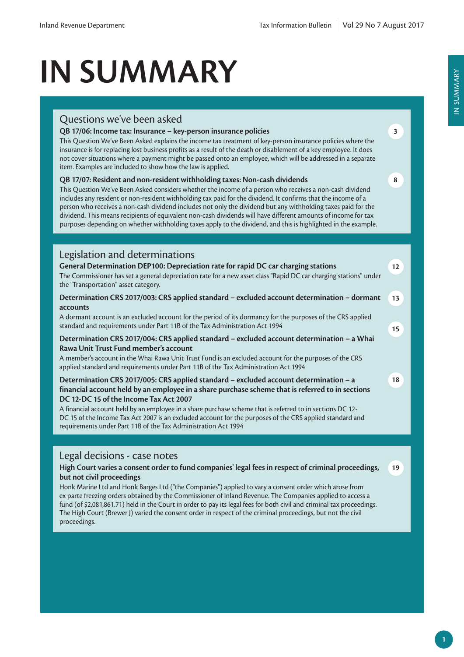# **IN SUMMARY**

## Questions we've been asked

## **QB 17/06: Income tax: Insurance – key-person insurance policies**

This Question We've Been Asked explains the income tax treatment of key-person insurance policies where the insurance is for replacing lost business profits as a result of the death or disablement of a key employee. It does not cover situations where a payment might be passed onto an employee, which will be addressed in a separate item. Examples are included to show how the law is applied.

## **QB 17/07: Resident and non-resident withholding taxes: Non-cash dividends**

This Question We've Been Asked considers whether the income of a person who receives a non-cash dividend includes any resident or non-resident withholding tax paid for the dividend. It confirms that the income of a person who receives a non-cash dividend includes not only the dividend but any withholding taxes paid for the dividend. This means recipients of equivalent non-cash dividends will have different amounts of income for tax purposes depending on whether withholding taxes apply to the dividend, and this is highlighted in the example.

## Legislation and determinations

| General Determination DEP100: Depreciation rate for rapid DC car charging stations                                                                        | $12 \ \mathrm{$ |
|-----------------------------------------------------------------------------------------------------------------------------------------------------------|-----------------|
| The Commissioner has set a general depreciation rate for a new asset class "Rapid DC car charging stations" under<br>the "Transportation" asset category. |                 |
| Determination CRS 2017/003: CRS applied standard - excluded account determination - dormant<br>accounts                                                   | 13              |
| A dormant account is an excluded account for the period of its dormancy for the purposes of the CRS applied                                               |                 |
| standard and requirements under Part 11B of the Tax Administration Act 1994                                                                               | 15              |
|                                                                                                                                                           |                 |

## **Determination CRS 2017/004: CRS applied standard – excluded account determination – a Whai Rawa Unit Trust Fund member's account**

A member's account in the Whai Rawa Unit Trust Fund is an excluded account for the purposes of the CRS applied standard and requirements under Part 11B of the Tax Administration Act 1994

## **Determination CRS 2017/005: CRS applied standard – excluded account determination – a financial account held by an employee in a share purchase scheme that is referred to in sections DC 12-DC 15 of the Income Tax Act 2007**

A financial account held by an employee in a share purchase scheme that is referred to in sections DC 12- DC 15 of the Income Tax Act 2007 is an excluded account for the purposes of the CRS applied standard and requirements under Part 11B of the Tax Administration Act 1994

## Legal decisions - case notes

#### **High Court varies a consent order to fund companies' legal fees in respect of criminal proceedings, but not civil proceedings**

Honk Marine Ltd and Honk Barges Ltd ("the Companies") applied to vary a consent order which arose from ex parte freezing orders obtained by the Commissioner of Inland Revenue. The Companies applied to access a fund (of \$2,081,861.71) held in the Court in order to pay its legal fees for both civil and criminal tax proceedings. The High Court (Brewer J) varied the consent order in respect of the criminal proceedings, but not the civil proceedings.

**3**

**8**

**18**

**19**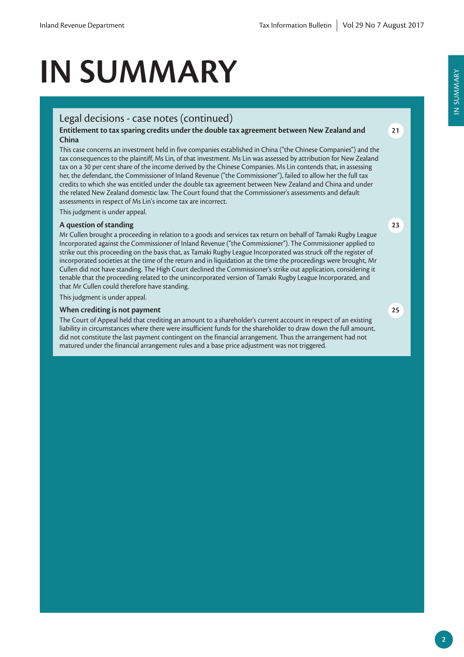# **IN SUMMARY**

## Legal decisions - case notes (continued)

#### **Entitlement to tax sparing credits under the double tax agreement between New Zealand and China**

This case concerns an investment held in five companies established in China ("the Chinese Companies") and the tax consequences to the plaintiff, Ms Lin, of that investment. Ms Lin was assessed by attribution for New Zealand tax on a 30 per cent share of the income derived by the Chinese Companies. Ms Lin contends that, in assessing her, the defendant, the Commissioner of Inland Revenue ("the Commissioner"), failed to allow her the full tax credits to which she was entitled under the double tax agreement between New Zealand and China and under the related New Zealand domestic law. The Court found that the Commissioner's assessments and default assessments in respect of Ms Lin's income tax are incorrect.

This judgment is under appeal.

#### **A question of standing**

Mr Cullen brought a proceeding in relation to a goods and services tax return on behalf of Tamaki Rugby League Incorporated against the Commissioner of Inland Revenue ("the Commissioner"). The Commissioner applied to strike out this proceeding on the basis that, as Tamaki Rugby League Incorporated was struck off the register of incorporated societies at the time of the return and in liquidation at the time the proceedings were brought, Mr Cullen did not have standing. The High Court declined the Commissioner's strike out application, considering it tenable that the proceeding related to the unincorporated version of Tamaki Rugby League Incorporated, and that Mr Cullen could therefore have standing.

This judgment is under appeal.

#### **When crediting is not payment**

The Court of Appeal held that crediting an amount to a shareholder's current account in respect of an existing liability in circumstances where there were insufficient funds for the shareholder to draw down the full amount, did not constitute the last payment contingent on the financial arrangement. Thus the arrangement had not matured under the financial arrangement rules and a base price adjustment was not triggered.

IN SUMMARY

IN SUMMARY

**25**

**23**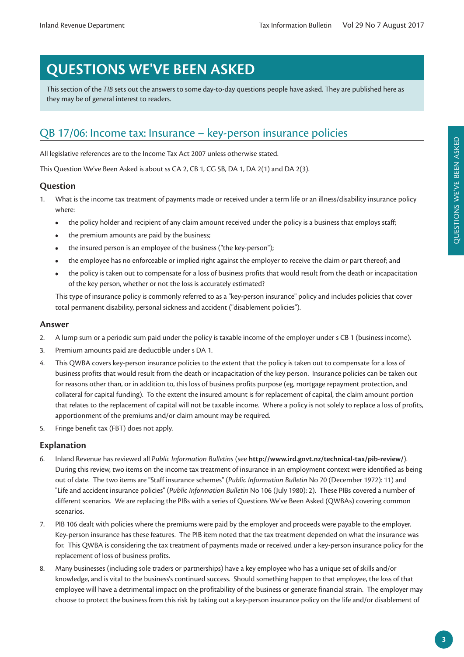# **QUESTIONS WE'VE BEEN ASKED**

This section of the *TIB* sets out the answers to some day-to-day questions people have asked. They are published here as they may be of general interest to readers.

## QB 17/06: Income tax: Insurance – key-person insurance policies

All legislative references are to the Income Tax Act 2007 unless otherwise stated.

This Question We've Been Asked is about ss CA 2, CB 1, CG 5B, DA 1, DA 2(1) and DA 2(3).

## **Question**

- 1. What is the income tax treatment of payments made or received under a term life or an illness/disability insurance policy where:
	- **•** the policy holder and recipient of any claim amount received under the policy is a business that employs staff;
	- **•** the premium amounts are paid by the business;
	- the insured person is an employee of the business ("the key-person");
	- **•** the employee has no enforceable or implied right against the employer to receive the claim or part thereof; and
	- **•** the policy is taken out to compensate for a loss of business profits that would result from the death or incapacitation of the key person, whether or not the loss is accurately estimated?

This type of insurance policy is commonly referred to as a "key-person insurance" policy and includes policies that cover total permanent disability, personal sickness and accident ("disablement policies").

#### **Answer**

- 2. A lump sum or a periodic sum paid under the policy is taxable income of the employer under s CB 1 (business income).
- 3. Premium amounts paid are deductible under s DA 1.
- 4. This QWBA covers key-person insurance policies to the extent that the policy is taken out to compensate for a loss of business profits that would result from the death or incapacitation of the key person. Insurance policies can be taken out for reasons other than, or in addition to, this loss of business profits purpose (eg, mortgage repayment protection, and collateral for capital funding). To the extent the insured amount is for replacement of capital, the claim amount portion that relates to the replacement of capital will not be taxable income. Where a policy is not solely to replace a loss of profits, apportionment of the premiums and/or claim amount may be required.
- 5. Fringe benefit tax (FBT) does not apply.

## **Explanation**

- 6. Inland Revenue has reviewed all *Public Information Bulletins* (see **http://www.ird.govt.nz/technical-tax/pib-review/**). During this review, two items on the income tax treatment of insurance in an employment context were identified as being out of date. The two items are "Staff insurance schemes" (*Public Information Bulletin* No 70 (December 1972): 11) and "Life and accident insurance policies" (*Public Information Bulletin* No 106 (July 1980): 2). These PIBs covered a number of different scenarios. We are replacing the PIBs with a series of Questions We've Been Asked (QWBAs) covering common scenarios.
- 7. PIB 106 dealt with policies where the premiums were paid by the employer and proceeds were payable to the employer. Key-person insurance has these features. The PIB item noted that the tax treatment depended on what the insurance was for. This QWBA is considering the tax treatment of payments made or received under a key-person insurance policy for the replacement of loss of business profits.
- 8. Many businesses (including sole traders or partnerships) have a key employee who has a unique set of skills and/or knowledge, and is vital to the business's continued success. Should something happen to that employee, the loss of that employee will have a detrimental impact on the profitability of the business or generate financial strain. The employer may choose to protect the business from this risk by taking out a key-person insurance policy on the life and/or disablement of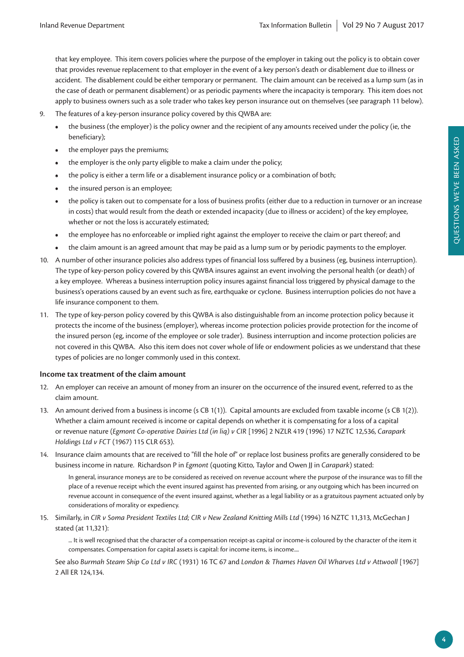that key employee. This item covers policies where the purpose of the employer in taking out the policy is to obtain cover that provides revenue replacement to that employer in the event of a key person's death or disablement due to illness or accident. The disablement could be either temporary or permanent. The claim amount can be received as a lump sum (as in the case of death or permanent disablement) or as periodic payments where the incapacity is temporary. This item does not apply to business owners such as a sole trader who takes key person insurance out on themselves (see paragraph 11 below).

- 9. The features of a key-person insurance policy covered by this QWBA are:
	- **•** the business (the employer) is the policy owner and the recipient of any amounts received under the policy (ie, the beneficiary);
	- **•** the employer pays the premiums;
	- **•** the employer is the only party eligible to make a claim under the policy;
	- the policy is either a term life or a disablement insurance policy or a combination of both;
	- **•** the insured person is an employee;
	- **•** the policy is taken out to compensate for a loss of business profits (either due to a reduction in turnover or an increase in costs) that would result from the death or extended incapacity (due to illness or accident) of the key employee, whether or not the loss is accurately estimated;
	- **•** the employee has no enforceable or implied right against the employer to receive the claim or part thereof; and
	- **•** the claim amount is an agreed amount that may be paid as a lump sum or by periodic payments to the employer.
- 10. A number of other insurance policies also address types of financial loss suffered by a business (eg, business interruption). The type of key-person policy covered by this QWBA insures against an event involving the personal health (or death) of a key employee. Whereas a business interruption policy insures against financial loss triggered by physical damage to the business's operations caused by an event such as fire, earthquake or cyclone. Business interruption policies do not have a life insurance component to them.
- 11. The type of key-person policy covered by this QWBA is also distinguishable from an income protection policy because it protects the income of the business (employer), whereas income protection policies provide protection for the income of the insured person (eg, income of the employee or sole trader). Business interruption and income protection policies are not covered in this QWBA. Also this item does not cover whole of life or endowment policies as we understand that these types of policies are no longer commonly used in this context.

#### **Income tax treatment of the claim amount**

- 12. An employer can receive an amount of money from an insurer on the occurrence of the insured event, referred to as the claim amount.
- 13. An amount derived from a business is income (s CB 1(1)). Capital amounts are excluded from taxable income (s CB 1(2)). Whether a claim amount received is income or capital depends on whether it is compensating for a loss of a capital or revenue nature (*Egmont Co-operative Dairies Ltd (in liq) v CIR* [1996] 2 NZLR 419 (1996) 17 NZTC 12,536, *Carapark Holdings Ltd v FCT* (1967) 115 CLR 653).
- 14. Insurance claim amounts that are received to "fill the hole of" or replace lost business profits are generally considered to be business income in nature. Richardson P in *Egmont* (quoting Kitto, Taylor and Owen JJ in *Carapark*) stated:

In general, insurance moneys are to be considered as received on revenue account where the purpose of the insurance was to fill the place of a revenue receipt which the event insured against has prevented from arising, or any outgoing which has been incurred on revenue account in consequence of the event insured against, whether as a legal liability or as a gratuitous payment actuated only by considerations of morality or expediency.

15. Similarly, in CIR v Soma President Textiles Ltd; CIR v New Zealand Knitting Mills Ltd (1994) 16 NZTC 11,313, McGechan J stated (at 11,321):

... It is well recognised that the character of a compensation receipt-as capital or income-is coloured by the character of the item it compensates. Compensation for capital assets is capital: for income items, is income....

See also *Burmah Steam Ship Co Ltd v IRC* (1931) 16 TC 67 and *London & Thames Haven Oil Wharves Ltd v Attwooll* [1967] 2 All ER 124,134.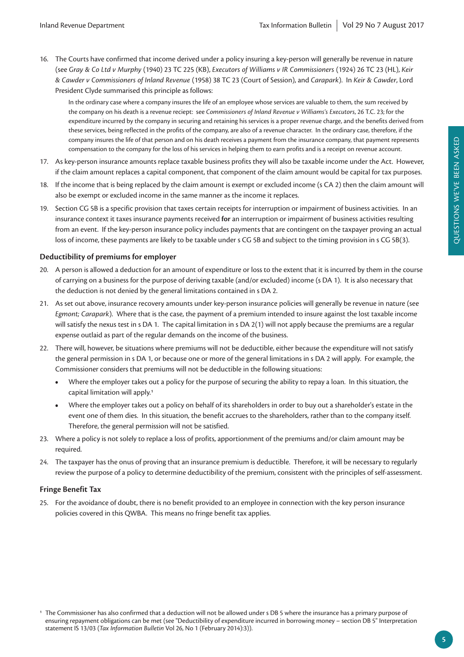16. The Courts have confirmed that income derived under a policy insuring a key-person will generally be revenue in nature (see *Gray & Co Ltd v Murphy* (1940) 23 TC 225 (KB), *Executors of Williams v IR Commissioners* (1924) 26 TC 23 (HL), *Keir & Cawder v Commissioners of Inland Revenue* (1958) 38 TC 23 (Court of Session), and *Carapark*). In *Keir & Cawder*, Lord President Clyde summarised this principle as follows:

In the ordinary case where a company insures the life of an employee whose services are valuable to them, the sum received by the company on his death is a revenue reciept: see *Commissioners of Inland Revenue v Williams's Executors*, 26 T.C. 23; for the expenditure incurred by the company in securing and retaining his services is a proper revenue charge, and the benefits derived from these services, being reflected in the profits of the company, are also of a revenue character. In the ordinary case, therefore, if the company insures the life of that person and on his death receives a payment from the insurance company, that payment represents compensation to the company for the loss of his services in helping them to earn profits and is a receipt on revenue account.

- 17. As key-person insurance amounts replace taxable business profits they will also be taxable income under the Act. However, if the claim amount replaces a capital component, that component of the claim amount would be capital for tax purposes.
- 18. If the income that is being replaced by the claim amount is exempt or excluded income (s CA 2) then the claim amount will also be exempt or excluded income in the same manner as the income it replaces.
- 19. Section CG 5B is a specific provision that taxes certain receipts for interruption or impairment of business activities. In an insurance context it taxes insurance payments received **for** an interruption or impairment of business activities resulting from an event. If the key-person insurance policy includes payments that are contingent on the taxpayer proving an actual loss of income, these payments are likely to be taxable under s CG 5B and subject to the timing provision in s CG 5B(3).

## **Deductibility of premiums for employer**

- 20. A person is allowed a deduction for an amount of expenditure or loss to the extent that it is incurred by them in the course of carrying on a business for the purpose of deriving taxable (and/or excluded) income (s DA 1). It is also necessary that the deduction is not denied by the general limitations contained in s DA 2.
- 21. As set out above, insurance recovery amounts under key-person insurance policies will generally be revenue in nature (see *Egmont; Carapark*). Where that is the case, the payment of a premium intended to insure against the lost taxable income will satisfy the nexus test in s DA 1. The capital limitation in s DA 2(1) will not apply because the premiums are a regular expense outlaid as part of the regular demands on the income of the business.
- 22. There will, however, be situations where premiums will not be deductible, either because the expenditure will not satisfy the general permission in s DA 1, or because one or more of the general limitations in s DA 2 will apply. For example, the Commissioner considers that premiums will not be deductible in the following situations:
	- **•** Where the employer takes out a policy for the purpose of securing the ability to repay a loan. In this situation, the capital limitation will apply.1
	- **•** Where the employer takes out a policy on behalf of its shareholders in order to buy out a shareholder's estate in the event one of them dies. In this situation, the benefit accrues to the shareholders, rather than to the company itself. Therefore, the general permission will not be satisfied.
- 23. Where a policy is not solely to replace a loss of profits, apportionment of the premiums and/or claim amount may be required.
- 24. The taxpayer has the onus of proving that an insurance premium is deductible. Therefore, it will be necessary to regularly review the purpose of a policy to determine deductibility of the premium, consistent with the principles of self-assessment.

#### **Fringe Benefit Tax**

25. For the avoidance of doubt, there is no benefit provided to an employee in connection with the key person insurance policies covered in this QWBA. This means no fringe benefit tax applies.

<sup>1</sup> The Commissioner has also confirmed that a deduction will not be allowed under s DB 5 where the insurance has a primary purpose of ensuring repayment obligations can be met (see "Deductibility of expenditure incurred in borrowing money – section DB 5" Interpretation statement IS 13/03 (*Tax Information Bulletin* Vol 26, No 1 (February 2014):3)).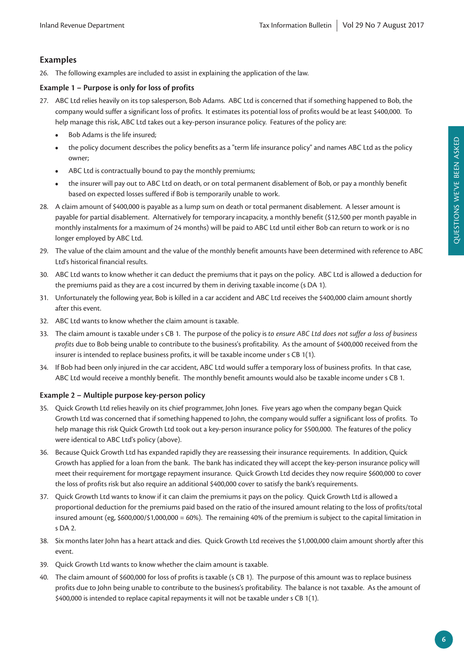## **Examples**

26. The following examples are included to assist in explaining the application of the law.

## **Example 1 – Purpose is only for loss of profits**

- 27. ABC Ltd relies heavily on its top salesperson, Bob Adams. ABC Ltd is concerned that if something happened to Bob, the company would suffer a significant loss of profits. It estimates its potential loss of profits would be at least \$400,000. To help manage this risk, ABC Ltd takes out a key-person insurance policy. Features of the policy are:
	- **•** Bob Adams is the life insured;
	- **•** the policy document describes the policy benefits as a "term life insurance policy" and names ABC Ltd as the policy owner;
	- **•** ABC Ltd is contractually bound to pay the monthly premiums;
	- **•** the insurer will pay out to ABC Ltd on death, or on total permanent disablement of Bob, or pay a monthly benefit based on expected losses suffered if Bob is temporarily unable to work.
- 28. A claim amount of \$400,000 is payable as a lump sum on death or total permanent disablement. A lesser amount is payable for partial disablement. Alternatively for temporary incapacity, a monthly benefit (\$12,500 per month payable in monthly instalments for a maximum of 24 months) will be paid to ABC Ltd until either Bob can return to work or is no longer employed by ABC Ltd.
- 29. The value of the claim amount and the value of the monthly benefit amounts have been determined with reference to ABC Ltd's historical financial results.
- 30. ABC Ltd wants to know whether it can deduct the premiums that it pays on the policy. ABC Ltd is allowed a deduction for the premiums paid as they are a cost incurred by them in deriving taxable income (s DA 1).
- 31. Unfortunately the following year, Bob is killed in a car accident and ABC Ltd receives the \$400,000 claim amount shortly after this event.
- 32. ABC Ltd wants to know whether the claim amount is taxable.
- 33. The claim amount is taxable under s CB 1. The purpose of the policy is *to ensure ABC Ltd does not suffer a loss of business profits* due to Bob being unable to contribute to the business's profitability. As the amount of \$400,000 received from the insurer is intended to replace business profits, it will be taxable income under s CB 1(1).
- 34. If Bob had been only injured in the car accident, ABC Ltd would suffer a temporary loss of business profits. In that case, ABC Ltd would receive a monthly benefit. The monthly benefit amounts would also be taxable income under s CB 1.

## **Example 2 – Multiple purpose key-person policy**

- 35. Quick Growth Ltd relies heavily on its chief programmer, John Jones. Five years ago when the company began Quick Growth Ltd was concerned that if something happened to John, the company would suffer a significant loss of profits. To help manage this risk Quick Growth Ltd took out a key-person insurance policy for \$500,000. The features of the policy were identical to ABC Ltd's policy (above).
- 36. Because Quick Growth Ltd has expanded rapidly they are reassessing their insurance requirements. In addition, Quick Growth has applied for a loan from the bank. The bank has indicated they will accept the key-person insurance policy will meet their requirement for mortgage repayment insurance. Quick Growth Ltd decides they now require \$600,000 to cover the loss of profits risk but also require an additional \$400,000 cover to satisfy the bank's requirements.
- 37. Quick Growth Ltd wants to know if it can claim the premiums it pays on the policy. Quick Growth Ltd is allowed a proportional deduction for the premiums paid based on the ratio of the insured amount relating to the loss of profits/total insured amount (eg, \$600,000/\$1,000,000 = 60%). The remaining 40% of the premium is subject to the capital limitation in  $S$  DA 2.
- 38. Six months later John has a heart attack and dies. Quick Growth Ltd receives the \$1,000,000 claim amount shortly after this event.
- 39. Quick Growth Ltd wants to know whether the claim amount is taxable.
- 40. The claim amount of \$600,000 for loss of profits is taxable (s CB 1). The purpose of this amount was to replace business profits due to John being unable to contribute to the business's profitability. The balance is not taxable. As the amount of \$400,000 is intended to replace capital repayments it will not be taxable under s CB 1(1).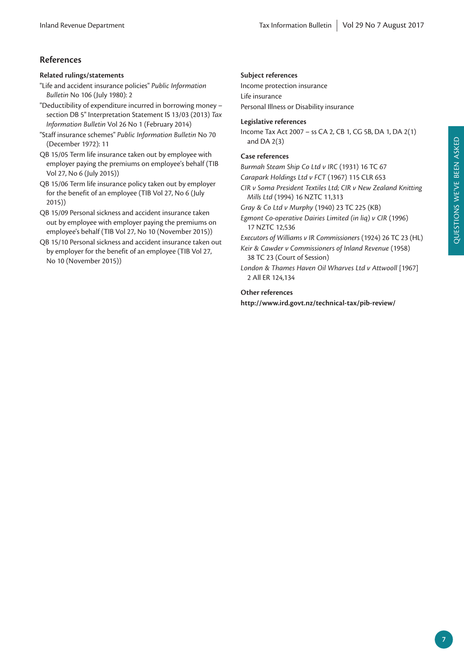## **References**

## **Related rulings/statements**

"Life and accident insurance policies" *Public Information Bulletin* No 106 (July 1980): 2

"Deductibility of expenditure incurred in borrowing money – section DB 5" Interpretation Statement IS 13/03 (2013) *Tax Information Bulletin* Vol 26 No 1 (February 2014)

- "Staff insurance schemes" *Public Information Bulletin* No 70 (December 1972): 11
- QB 15/05 Term life insurance taken out by employee with employer paying the premiums on employee's behalf (TIB Vol 27, No 6 (July 2015))
- QB 15/06 Term life insurance policy taken out by employer for the benefit of an employee (TIB Vol 27, No 6 (July 2015))
- QB 15/09 Personal sickness and accident insurance taken out by employee with employer paying the premiums on employee's behalf (TIB Vol 27, No 10 (November 2015))

QB 15/10 Personal sickness and accident insurance taken out by employer for the benefit of an employee (TIB Vol 27, No 10 (November 2015))

## **Subject references**

Income protection insurance Life insurance Personal Illness or Disability insurance

## **Legislative references**

Income Tax Act 2007 – ss CA 2, CB 1, CG 5B, DA 1, DA 2(1) and DA 2(3)

## **Case references**

*Burmah Steam Ship Co Ltd v IRC* (1931) 16 TC 67

*Carapark Holdings Ltd v FCT* (1967) 115 CLR 653

*CIR v Soma President Textiles Ltd; CIR v New Zealand Knitting Mills Ltd* (1994) 16 NZTC 11,313

*Gray & Co Ltd v Murphy* (1940) 23 TC 225 (KB)

*Egmont Co-operative Dairies Limited (in liq) v CIR* (1996) 17 NZTC 12,536

*Executors of Williams v IR Commissioners* (1924) 26 TC 23 (HL)

*Keir & Cawder v Commissioners of Inland Revenue* (1958) 38 TC 23 (Court of Session)

*London & Thames Haven Oil Wharves Ltd v Attwooll* [1967] 2 All ER 124,134

## **Other references**

**http://www.ird.govt.nz/technical-tax/pib-review/**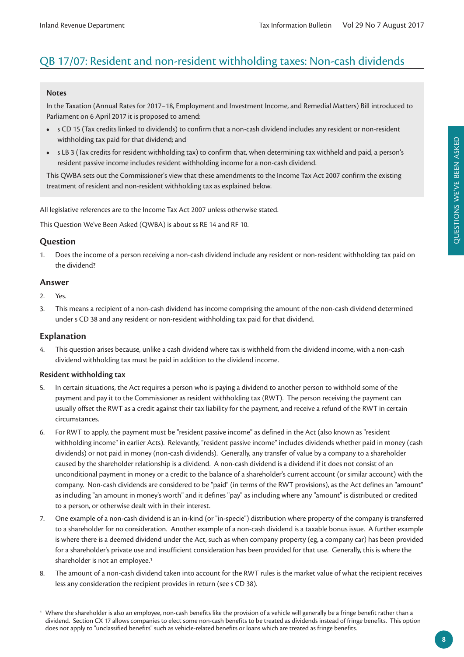## QB 17/07: Resident and non-resident withholding taxes: Non-cash dividends

#### **Notes**

In the Taxation (Annual Rates for 2017–18, Employment and Investment Income, and Remedial Matters) Bill introduced to Parliament on 6 April 2017 it is proposed to amend:

- **•** s CD 15 (Tax credits linked to dividends) to confirm that a non-cash dividend includes any resident or non-resident withholding tax paid for that dividend; and
- **•** s LB 3 (Tax credits for resident withholding tax) to confirm that, when determining tax withheld and paid, a person's resident passive income includes resident withholding income for a non-cash dividend.

This QWBA sets out the Commissioner's view that these amendments to the Income Tax Act 2007 confirm the existing treatment of resident and non-resident withholding tax as explained below.

All legislative references are to the Income Tax Act 2007 unless otherwise stated.

This Question We've Been Asked (QWBA) is about ss RE 14 and RF 10.

## **Question**

1. Does the income of a person receiving a non-cash dividend include any resident or non-resident withholding tax paid on the dividend?

## **Answer**

- 2. Yes.
- 3. This means a recipient of a non-cash dividend has income comprising the amount of the non-cash dividend determined under s CD 38 and any resident or non-resident withholding tax paid for that dividend.

## **Explanation**

4. This question arises because, unlike a cash dividend where tax is withheld from the dividend income, with a non-cash dividend withholding tax must be paid in addition to the dividend income.

#### **Resident withholding tax**

- 5. In certain situations, the Act requires a person who is paying a dividend to another person to withhold some of the payment and pay it to the Commissioner as resident withholding tax (RWT). The person receiving the payment can usually offset the RWT as a credit against their tax liability for the payment, and receive a refund of the RWT in certain circumstances.
- 6. For RWT to apply, the payment must be "resident passive income" as defined in the Act (also known as "resident withholding income" in earlier Acts). Relevantly, "resident passive income" includes dividends whether paid in money (cash dividends) or not paid in money (non-cash dividends). Generally, any transfer of value by a company to a shareholder caused by the shareholder relationship is a dividend. A non-cash dividend is a dividend if it does not consist of an unconditional payment in money or a credit to the balance of a shareholder's current account (or similar account) with the company. Non-cash dividends are considered to be "paid" (in terms of the RWT provisions), as the Act defines an "amount" as including "an amount in money's worth" and it defines "pay" as including where any "amount" is distributed or credited to a person, or otherwise dealt with in their interest.
- 7. One example of a non-cash dividend is an in-kind (or "in-specie") distribution where property of the company is transferred to a shareholder for no consideration. Another example of a non-cash dividend is a taxable bonus issue. A further example is where there is a deemed dividend under the Act, such as when company property (eg, a company car) has been provided for a shareholder's private use and insufficient consideration has been provided for that use. Generally, this is where the shareholder is not an employee.<sup>1</sup>
- 8. The amount of a non-cash dividend taken into account for the RWT rules is the market value of what the recipient receives less any consideration the recipient provides in return (see s CD 38).

<sup>1</sup> Where the shareholder is also an employee, non-cash benefits like the provision of a vehicle will generally be a fringe benefit rather than a dividend. Section CX 17 allows companies to elect some non-cash benefits to be treated as dividends instead of fringe benefits. This option does not apply to "unclassified benefits" such as vehicle-related benefits or loans which are treated as fringe benefits.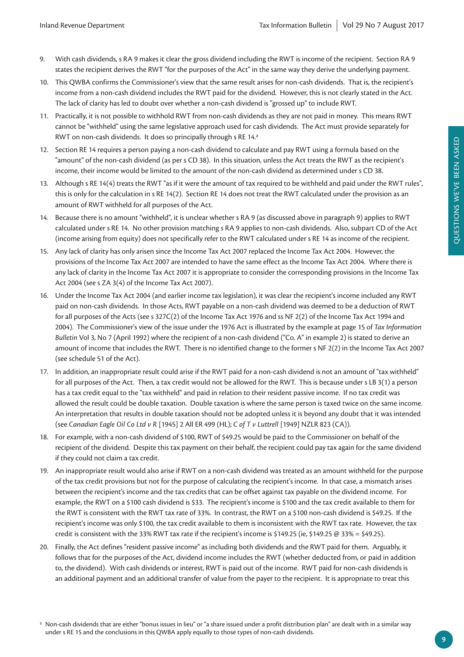- 9. With cash dividends, s RA 9 makes it clear the gross dividend including the RWT is income of the recipient. Section RA 9 states the recipient derives the RWT "for the purposes of the Act" in the same way they derive the underlying payment.
- 10. This QWBA confirms the Commissioner's view that the same result arises for non-cash dividends. That is, the recipient's income from a non-cash dividend includes the RWT paid for the dividend. However, this is not clearly stated in the Act. The lack of clarity has led to doubt over whether a non-cash dividend is "grossed up" to include RWT.
- 11. Practically, it is not possible to withhold RWT from non-cash dividends as they are not paid in money. This means RWT cannot be "withheld" using the same legislative approach used for cash dividends. The Act must provide separately for RWT on non-cash dividends. It does so principally through s RE 14.2
- 12. Section RE 14 requires a person paying a non-cash dividend to calculate and pay RWT using a formula based on the "amount" of the non-cash dividend (as per s CD 38). In this situation, unless the Act treats the RWT as the recipient's income, their income would be limited to the amount of the non-cash dividend as determined under s CD 38.
- 13. Although s RE 14(4) treats the RWT "as if it were the amount of tax required to be withheld and paid under the RWT rules", this is only for the calculation in s RE 14(2). Section RE 14 does not treat the RWT calculated under the provision as an amount of RWT withheld for all purposes of the Act.
- 14. Because there is no amount "withheld", it is unclear whether s RA 9 (as discussed above in paragraph 9) applies to RWT calculated under s RE 14. No other provision matching s RA 9 applies to non-cash dividends. Also, subpart CD of the Act (income arising from equity) does not specifically refer to the RWT calculated under s RE 14 as income of the recipient.
- 15. Any lack of clarity has only arisen since the Income Tax Act 2007 replaced the Income Tax Act 2004. However, the provisions of the Income Tax Act 2007 are intended to have the same effect as the Income Tax Act 2004. Where there is any lack of clarity in the Income Tax Act 2007 it is appropriate to consider the corresponding provisions in the Income Tax Act 2004 (see s ZA 3(4) of the Income Tax Act 2007).
- 16. Under the Income Tax Act 2004 (and earlier income tax legislation), it was clear the recipient's income included any RWT paid on non-cash dividends. In those Acts, RWT payable on a non-cash dividend was deemed to be a deduction of RWT for all purposes of the Acts (see s 327C(2) of the Income Tax Act 1976 and ss NF 2(2) of the Income Tax Act 1994 and 2004). The Commissioner's view of the issue under the 1976 Act is illustrated by the example at page 15 of *Tax Information Bulletin* Vol 3, No 7 (April 1992) where the recipient of a non-cash dividend ("Co. A" in example 2) is stated to derive an amount of income that includes the RWT. There is no identified change to the former s NF 2(2) in the Income Tax Act 2007 (see schedule 51 of the Act).
- 17. In addition, an inappropriate result could arise if the RWT paid for a non-cash dividend is not an amount of "tax withheld" for all purposes of the Act. Then, a tax credit would not be allowed for the RWT. This is because under s LB 3(1) a person has a tax credit equal to the "tax withheld" and paid in relation to their resident passive income. If no tax credit was allowed the result could be double taxation. Double taxation is where the same person is taxed twice on the same income. An interpretation that results in double taxation should not be adopted unless it is beyond any doubt that it was intended (see *Canadian Eagle Oil Co Ltd v R* [1945] 2 All ER 499 (HL); *C of T v Luttrell* [1949] NZLR 823 (CA)).
- 18. For example, with a non-cash dividend of \$100, RWT of \$49.25 would be paid to the Commissioner on behalf of the recipient of the dividend. Despite this tax payment on their behalf, the recipient could pay tax again for the same dividend if they could not claim a tax credit.
- 19. An inappropriate result would also arise if RWT on a non-cash dividend was treated as an amount withheld for the purpose of the tax credit provisions but not for the purpose of calculating the recipient's income. In that case, a mismatch arises between the recipient's income and the tax credits that can be offset against tax payable on the dividend income. For example, the RWT on a \$100 cash dividend is \$33. The recipient's income is \$100 and the tax credit available to them for the RWT is consistent with the RWT tax rate of 33%. In contrast, the RWT on a \$100 non-cash dividend is \$49.25. If the recipient's income was only \$100, the tax credit available to them is inconsistent with the RWT tax rate. However, the tax credit is consistent with the 33% RWT tax rate if the recipient's income is \$149.25 (ie, \$149.25  $\omega$  33% = \$49.25).
- 20. Finally, the Act defines "resident passive income" as including both dividends and the RWT paid for them. Arguably, it follows that for the purposes of the Act, dividend income includes the RWT (whether deducted from, or paid in addition to, the dividend). With cash dividends or interest, RWT is paid out of the income. RWT paid for non-cash dividends is an additional payment and an additional transfer of value from the payer to the recipient. It is appropriate to treat this

<sup>2</sup> Non-cash dividends that are either "bonus issues in lieu" or "a share issued under a profit distribution plan" are dealt with in a similar way under s RE 15 and the conclusions in this QWBA apply equally to those types of non-cash dividends.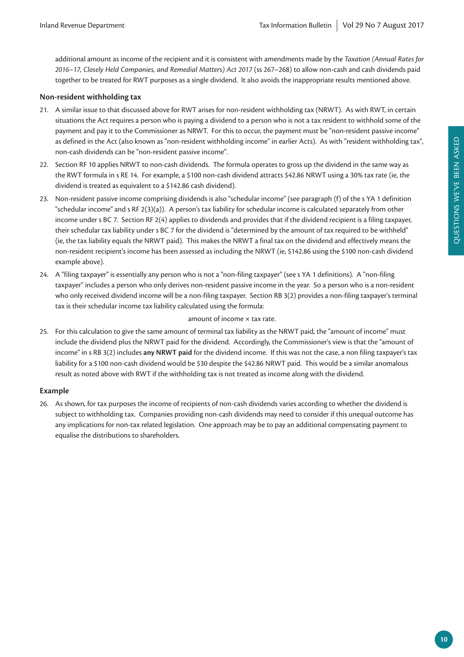additional amount as income of the recipient and it is consistent with amendments made by the *Taxation (Annual Rates for 2016–17, Closely Held Companies, and Remedial Matters) Act 2017* (ss 267–268) to allow non-cash and cash dividends paid together to be treated for RWT purposes as a single dividend. It also avoids the inappropriate results mentioned above.

#### **Non-resident withholding tax**

- 21. A similar issue to that discussed above for RWT arises for non-resident withholding tax (NRWT). As with RWT, in certain situations the Act requires a person who is paying a dividend to a person who is not a tax resident to withhold some of the payment and pay it to the Commissioner as NRWT. For this to occur, the payment must be "non-resident passive income" as defined in the Act (also known as "non-resident withholding income" in earlier Acts). As with "resident withholding tax", non-cash dividends can be "non-resident passive income".
- 22. Section RF 10 applies NRWT to non-cash dividends. The formula operates to gross up the dividend in the same way as the RWT formula in s RE 14. For example, a \$100 non-cash dividend attracts \$42.86 NRWT using a 30% tax rate (ie, the dividend is treated as equivalent to a \$142.86 cash dividend).
- 23. Non-resident passive income comprising dividends is also "schedular income" (see paragraph (f) of the s YA 1 definition "schedular income" and s RF 2(3)(a)). A person's tax liability for schedular income is calculated separately from other income under s BC 7. Section RF 2(4) applies to dividends and provides that if the dividend recipient is a filing taxpayer, their schedular tax liability under s BC 7 for the dividend is "determined by the amount of tax required to be withheld" (ie, the tax liability equals the NRWT paid). This makes the NRWT a final tax on the dividend and effectively means the non-resident recipient's income has been assessed as including the NRWT (ie, \$142.86 using the \$100 non-cash dividend example above).
- 24. A "filing taxpayer" is essentially any person who is not a "non-filing taxpayer" (see s YA 1 definitions). A "non-filing taxpayer" includes a person who only derives non-resident passive income in the year. So a person who is a non-resident who only received dividend income will be a non-filing taxpayer. Section RB 3(2) provides a non-filing taxpayer's terminal tax is their schedular income tax liability calculated using the formula:

#### amount of income × tax rate.

25. For this calculation to give the same amount of terminal tax liability as the NRWT paid, the "amount of income" must include the dividend plus the NRWT paid for the dividend. Accordingly, the Commissioner's view is that the "amount of income" in s RB 3(2) includes **any NRWT paid** for the dividend income. If this was not the case, a non filing taxpayer's tax liability for a \$100 non-cash dividend would be \$30 despite the \$42.86 NRWT paid. This would be a similar anomalous result as noted above with RWT if the withholding tax is not treated as income along with the dividend.

#### **Example**

26. As shown, for tax purposes the income of recipients of non-cash dividends varies according to whether the dividend is subject to withholding tax. Companies providing non-cash dividends may need to consider if this unequal outcome has any implications for non-tax related legislation. One approach may be to pay an additional compensating payment to equalise the distributions to shareholders.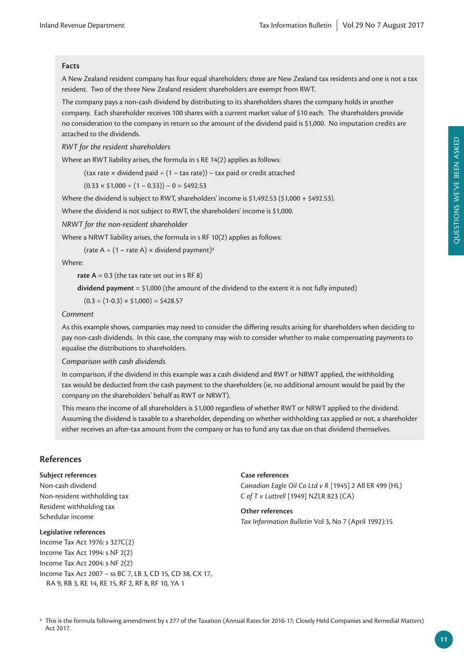## **Facts**

A New Zealand resident company has four equal shareholders: three are New Zealand tax residents and one is not a tax resident. Two of the three New Zealand resident shareholders are exempt from RWT.

The company pays a non-cash dividend by distributing to its shareholders shares the company holds in another company. Each shareholder receives 100 shares with a current market value of \$10 each. The shareholders provide no consideration to the company in return so the amount of the dividend paid is \$1,000. No imputation credits are attached to the dividends.

*RWT for the resident shareholders*

Where an RWT liability arises, the formula in s RE 14(2) applies as follows:

(tax rate  $\times$  dividend paid  $\div$  (1 – tax rate)) – tax paid or credit attached

 $(0.33 \times $1,000 \div (1 - 0.33)) - 0 = $492.53$ 

Where the dividend is subject to RWT, shareholders' income is \$1,492.53 (\$1,000 + \$492.53).

Where the dividend is not subject to RWT, the shareholders' income is \$1,000.

*NRWT for the non-resident shareholder*

Where a NRWT liability arises, the formula in s RF 10(2) applies as follows:

(rate  $A \div (1 - \text{rate } A) \times \text{dividend payment}$ )<sup>3</sup>

Where:

**rate A** = 0.3 (the tax rate set out in s RF 8)

**dividend payment** = \$1,000 (the amount of the dividend to the extent it is not fully imputed)

 $(0.3 \div (1-0.3) \times $1,000) = $428.57$ 

#### *Comment*

As this example shows, companies may need to consider the differing results arising for shareholders when deciding to pay non-cash dividends. In this case, the company may wish to consider whether to make compensating payments to equalise the distributions to shareholders.

*Comparison with cash dividends*

In comparison, if the dividend in this example was a cash dividend and RWT or NRWT applied, the withholding tax would be deducted from the cash payment to the shareholders (ie, no additional amount would be paid by the company on the shareholders' behalf as RWT or NRWT).

This means the income of all shareholders is \$1,000 regardless of whether RWT or NRWT applied to the dividend. Assuming the dividend is taxable to a shareholder, depending on whether withholding tax applied or not, a shareholder either receives an after-tax amount from the company or has to fund any tax due on that dividend themselves.

## **References**

#### **Subject references**

Non-cash dividend Non-resident withholding tax Resident withholding tax Schedular income

#### **Legislative references**

Income Tax Act 1976: s 327C(2) Income Tax Act 1994: s NF 2(2) Income Tax Act 2004: s NF 2(2) Income Tax Act 2007 – ss BC 7, LB 3, CD 15, CD 38, CX 17, RA 9, RB 3, RE 14, RE 15, RF 2, RF 8, RF 10, YA 1

#### **Case references**

*Canadian Eagle Oil Co Ltd v R* [1945] 2 All ER 499 (HL) *C of T v Luttrell* [1949] NZLR 823 (CA)

## **Other references** *Tax Information Bulletin* Vol 3, No 7 (April 1992):15

<sup>3</sup> This is the formula following amendment by s 277 of the Taxation (Annual Rates for 2016-17, Closely Held Companies and Remedial Matters) Act 2017.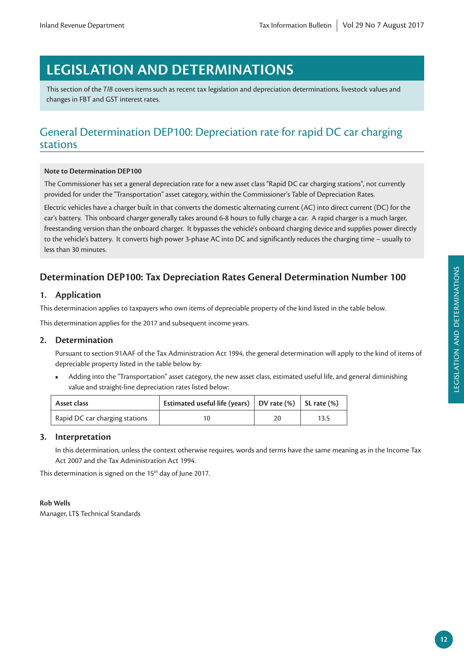# **LEGISLATION AND DETERMINATIONS**

This section of the *TIB* covers items such as recent tax legislation and depreciation determinations, livestock values and changes in FBT and GST interest rates.

## General Determination DEP100: Depreciation rate for rapid DC car charging stations

## **Note to Determination DEP100**

The Commissioner has set a general depreciation rate for a new asset class "Rapid DC car charging stations", not currently provided for under the "Transportation" asset category, within the Commissioner's Table of Depreciation Rates.

Electric vehicles have a charger built in that converts the domestic alternating current (AC) into direct current (DC) for the car's battery. This onboard charger generally takes around 6-8 hours to fully charge a car. A rapid charger is a much larger, freestanding version than the onboard charger. It bypasses the vehicle's onboard charging device and supplies power directly to the vehicle's battery. It converts high power 3-phase AC into DC and significantly reduces the charging time – usually to less than 30 minutes.

## **Determination DEP100: Tax Depreciation Rates General Determination Number 100**

## **1. Application**

This determination applies to taxpayers who own items of depreciable property of the kind listed in the table below.

This determination applies for the 2017 and subsequent income years.

## **2. Determination**

Pursuant to section 91AAF of the Tax Administration Act 1994, the general determination will apply to the kind of items of depreciable property listed in the table below by:

**•** Adding into the "Transportation" asset category, the new asset class, estimated useful life, and general diminishing value and straight-line depreciation rates listed below:

| Asset class                    | Estimated useful life (years) $\vert$ DV rate (%) $\vert$ SL rate (%) |      |
|--------------------------------|-----------------------------------------------------------------------|------|
| Rapid DC car charging stations | 10                                                                    | 13.5 |

## **3. Interpretation**

In this determination, unless the context otherwise requires, words and terms have the same meaning as in the Income Tax Act 2007 and the Tax Administration Act 1994.

This determination is signed on the 15<sup>th</sup> day of June 2017.

## **Rob Wells**

Manager, LTS Technical Standards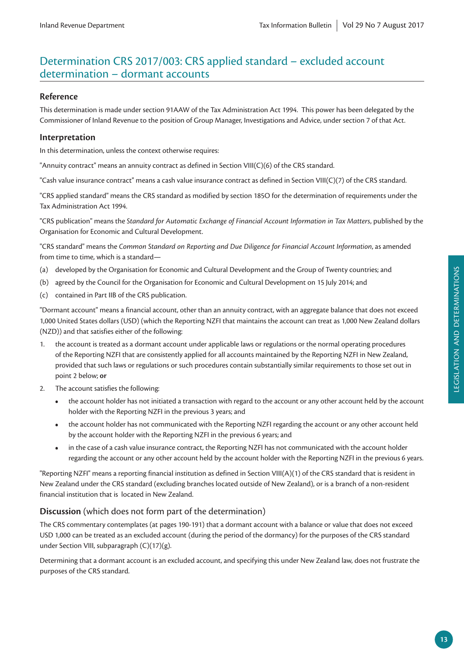## Determination CRS 2017/003: CRS applied standard – excluded account determination – dormant accounts

## **Reference**

This determination is made under section 91AAW of the Tax Administration Act 1994. This power has been delegated by the Commissioner of Inland Revenue to the position of Group Manager, Investigations and Advice, under section 7 of that Act.

## **Interpretation**

In this determination, unless the context otherwise requires:

"Annuity contract" means an annuity contract as defined in Section VIII(C)(6) of the CRS standard.

"Cash value insurance contract" means a cash value insurance contract as defined in Section VIII(C)(7) of the CRS standard.

"CRS applied standard" means the CRS standard as modified by section 185O for the determination of requirements under the Tax Administration Act 1994.

"CRS publication" means the *Standard for Automatic Exchange of Financial Account Information in Tax Matters*, published by the Organisation for Economic and Cultural Development.

"CRS standard" means the *Common Standard on Reporting and Due Diligence for Financial Account Information*, as amended from time to time, which is a standard—

- (a) developed by the Organisation for Economic and Cultural Development and the Group of Twenty countries; and
- (b) agreed by the Council for the Organisation for Economic and Cultural Development on 15 July 2014; and
- (c) contained in Part IIB of the CRS publication.

"Dormant account" means a financial account, other than an annuity contract, with an aggregate balance that does not exceed 1,000 United States dollars (USD) (which the Reporting NZFI that maintains the account can treat as 1,000 New Zealand dollars (NZD)) and that satisfies either of the following:

- the account is treated as a dormant account under applicable laws or regulations or the normal operating procedures of the Reporting NZFI that are consistently applied for all accounts maintained by the Reporting NZFI in New Zealand, provided that such laws or regulations or such procedures contain substantially similar requirements to those set out in point 2 below; **or**
- 2. The account satisfies the following:
	- the account holder has not initiated a transaction with regard to the account or any other account held by the account holder with the Reporting NZFI in the previous 3 years; and
	- **•** the account holder has not communicated with the Reporting NZFI regarding the account or any other account held by the account holder with the Reporting NZFI in the previous 6 years; and
	- **•** in the case of a cash value insurance contract, the Reporting NZFI has not communicated with the account holder regarding the account or any other account held by the account holder with the Reporting NZFI in the previous 6 years.

"Reporting NZFI" means a reporting financial institution as defined in Section VIII(A)(1) of the CRS standard that is resident in New Zealand under the CRS standard (excluding branches located outside of New Zealand), or is a branch of a non-resident financial institution that is located in New Zealand.

## **Discussion** (which does not form part of the determination)

The CRS commentary contemplates (at pages 190-191) that a dormant account with a balance or value that does not exceed USD 1,000 can be treated as an excluded account (during the period of the dormancy) for the purposes of the CRS standard under Section VIII, subparagraph (C)(17)(g).

Determining that a dormant account is an excluded account, and specifying this under New Zealand law, does not frustrate the purposes of the CRS standard.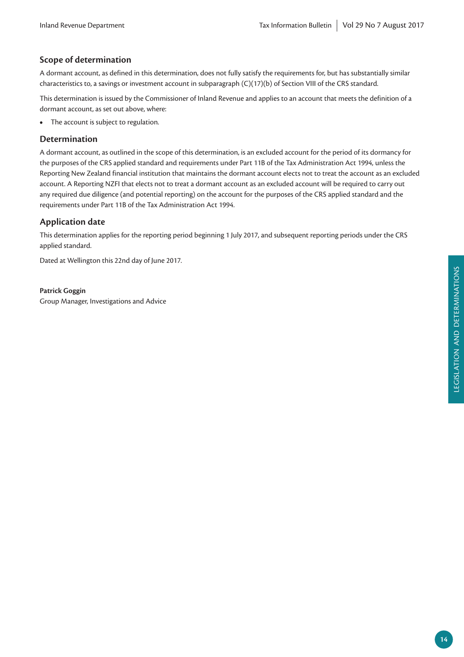## **Scope of determination**

A dormant account, as defined in this determination, does not fully satisfy the requirements for, but has substantially similar characteristics to, a savings or investment account in subparagraph (C)(17)(b) of Section VIII of the CRS standard.

This determination is issued by the Commissioner of Inland Revenue and applies to an account that meets the definition of a dormant account, as set out above, where:

**•** The account is subject to regulation.

## **Determination**

A dormant account, as outlined in the scope of this determination, is an excluded account for the period of its dormancy for the purposes of the CRS applied standard and requirements under Part 11B of the Tax Administration Act 1994, unless the Reporting New Zealand financial institution that maintains the dormant account elects not to treat the account as an excluded account. A Reporting NZFI that elects not to treat a dormant account as an excluded account will be required to carry out any required due diligence (and potential reporting) on the account for the purposes of the CRS applied standard and the requirements under Part 11B of the Tax Administration Act 1994.

## **Application date**

This determination applies for the reporting period beginning 1 July 2017, and subsequent reporting periods under the CRS applied standard.

Dated at Wellington this 22nd day of June 2017.

**Patrick Goggin** Group Manager, Investigations and Advice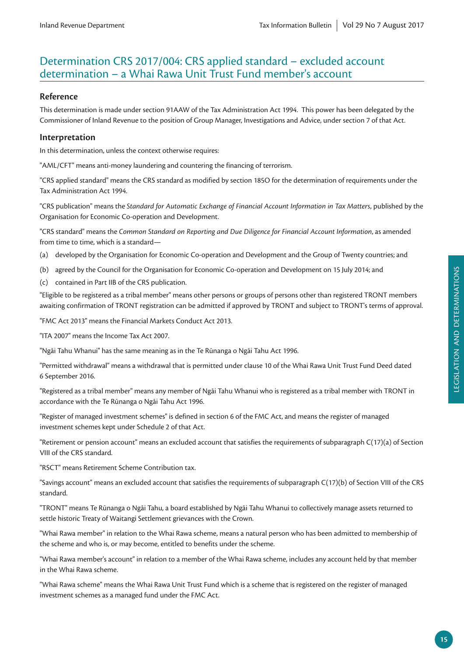## Determination CRS 2017/004: CRS applied standard – excluded account determination – a Whai Rawa Unit Trust Fund member's account

## **Reference**

This determination is made under section 91AAW of the Tax Administration Act 1994. This power has been delegated by the Commissioner of Inland Revenue to the position of Group Manager, Investigations and Advice, under section 7 of that Act.

## **Interpretation**

In this determination, unless the context otherwise requires:

"AML/CFT" means anti-money laundering and countering the financing of terrorism.

"CRS applied standard" means the CRS standard as modified by section 185O for the determination of requirements under the Tax Administration Act 1994.

"CRS publication" means the *Standard for Automatic Exchange of Financial Account Information in Tax Matters*, published by the Organisation for Economic Co-operation and Development.

"CRS standard" means the *Common Standard on Reporting and Due Diligence for Financial Account Information*, as amended from time to time, which is a standard—

- (a) developed by the Organisation for Economic Co-operation and Development and the Group of Twenty countries; and
- (b) agreed by the Council for the Organisation for Economic Co-operation and Development on 15 July 2014; and
- (c) contained in Part IIB of the CRS publication.

"Eligible to be registered as a tribal member" means other persons or groups of persons other than registered TRONT members awaiting confirmation of TRONT registration can be admitted if approved by TRONT and subject to TRONT's terms of approval.

"FMC Act 2013" means the Financial Markets Conduct Act 2013.

"ITA 2007" means the Income Tax Act 2007.

"Ngāi Tahu Whanui" has the same meaning as in the Te Rūnanga o Ngāi Tahu Act 1996.

"Permitted withdrawal" means a withdrawal that is permitted under clause 10 of the Whai Rawa Unit Trust Fund Deed dated 6 September 2016.

"Registered as a tribal member" means any member of Ngāi Tahu Whanui who is registered as a tribal member with TRONT in accordance with the Te Rūnanga o Ngāi Tahu Act 1996.

"Register of managed investment schemes" is defined in section 6 of the FMC Act, and means the register of managed investment schemes kept under Schedule 2 of that Act.

"Retirement or pension account" means an excluded account that satisfies the requirements of subparagraph C(17)(a) of Section VIII of the CRS standard.

"RSCT" means Retirement Scheme Contribution tax.

"Savings account" means an excluded account that satisfies the requirements of subparagraph C(17)(b) of Section VIII of the CRS standard.

"TRONT" means Te Rūnanga o Ngāi Tahu, a board established by Ngāi Tahu Whanui to collectively manage assets returned to settle historic Treaty of Waitangi Settlement grievances with the Crown.

"Whai Rawa member" in relation to the Whai Rawa scheme, means a natural person who has been admitted to membership of the scheme and who is, or may become, entitled to benefits under the scheme.

"Whai Rawa member's account" in relation to a member of the Whai Rawa scheme, includes any account held by that member in the Whai Rawa scheme.

"Whai Rawa scheme" means the Whai Rawa Unit Trust Fund which is a scheme that is registered on the register of managed investment schemes as a managed fund under the FMC Act.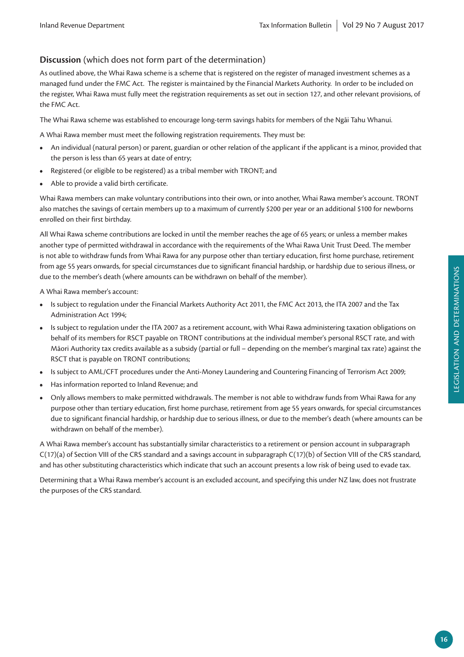## **Discussion** (which does not form part of the determination)

As outlined above, the Whai Rawa scheme is a scheme that is registered on the register of managed investment schemes as a managed fund under the FMC Act. The register is maintained by the Financial Markets Authority. In order to be included on the register, Whai Rawa must fully meet the registration requirements as set out in section 127, and other relevant provisions, of the FMC Act.

The Whai Rawa scheme was established to encourage long-term savings habits for members of the Ngāi Tahu Whanui.

A Whai Rawa member must meet the following registration requirements. They must be:

- **•** An individual (natural person) or parent, guardian or other relation of the applicant if the applicant is a minor, provided that the person is less than 65 years at date of entry;
- **•** Registered (or eligible to be registered) as a tribal member with TRONT; and
- **•** Able to provide a valid birth certificate.

Whai Rawa members can make voluntary contributions into their own, or into another, Whai Rawa member's account. TRONT also matches the savings of certain members up to a maximum of currently \$200 per year or an additional \$100 for newborns enrolled on their first birthday.

All Whai Rawa scheme contributions are locked in until the member reaches the age of 65 years; or unless a member makes another type of permitted withdrawal in accordance with the requirements of the Whai Rawa Unit Trust Deed. The member is not able to withdraw funds from Whai Rawa for any purpose other than tertiary education, first home purchase, retirement from age 55 years onwards, for special circumstances due to significant financial hardship, or hardship due to serious illness, or due to the member's death (where amounts can be withdrawn on behalf of the member).

A Whai Rawa member's account:

- **•** Is subject to regulation under the Financial Markets Authority Act 2011, the FMC Act 2013, the ITA 2007 and the Tax Administration Act 1994;
- **•** Is subject to regulation under the ITA 2007 as a retirement account, with Whai Rawa administering taxation obligations on behalf of its members for RSCT payable on TRONT contributions at the individual member's personal RSCT rate, and with Māori Authority tax credits available as a subsidy (partial or full – depending on the member's marginal tax rate) against the RSCT that is payable on TRONT contributions;
- **•** Is subject to AML/CFT procedures under the Anti-Money Laundering and Countering Financing of Terrorism Act 2009;
- **•** Has information reported to Inland Revenue; and
- **•** Only allows members to make permitted withdrawals. The member is not able to withdraw funds from Whai Rawa for any purpose other than tertiary education, first home purchase, retirement from age 55 years onwards, for special circumstances due to significant financial hardship, or hardship due to serious illness, or due to the member's death (where amounts can be withdrawn on behalf of the member).

A Whai Rawa member's account has substantially similar characteristics to a retirement or pension account in subparagraph C(17)(a) of Section VIII of the CRS standard and a savings account in subparagraph C(17)(b) of Section VIII of the CRS standard, and has other substituting characteristics which indicate that such an account presents a low risk of being used to evade tax.

Determining that a Whai Rawa member's account is an excluded account, and specifying this under NZ law, does not frustrate the purposes of the CRS standard.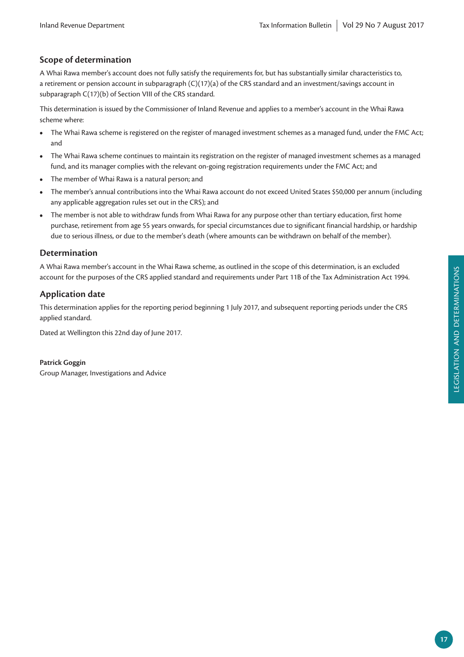## **Scope of determination**

A Whai Rawa member's account does not fully satisfy the requirements for, but has substantially similar characteristics to, a retirement or pension account in subparagraph (C)(17)(a) of the CRS standard and an investment/savings account in subparagraph C(17)(b) of Section VIII of the CRS standard.

This determination is issued by the Commissioner of Inland Revenue and applies to a member's account in the Whai Rawa scheme where:

- **•** The Whai Rawa scheme is registered on the register of managed investment schemes as a managed fund, under the FMC Act; and
- **•** The Whai Rawa scheme continues to maintain its registration on the register of managed investment schemes as a managed fund, and its manager complies with the relevant on-going registration requirements under the FMC Act; and
- **•** The member of Whai Rawa is a natural person; and
- **•** The member's annual contributions into the Whai Rawa account do not exceed United States \$50,000 per annum (including any applicable aggregation rules set out in the CRS); and
- **•** The member is not able to withdraw funds from Whai Rawa for any purpose other than tertiary education, first home purchase, retirement from age 55 years onwards, for special circumstances due to significant financial hardship, or hardship due to serious illness, or due to the member's death (where amounts can be withdrawn on behalf of the member).

## **Determination**

A Whai Rawa member's account in the Whai Rawa scheme, as outlined in the scope of this determination, is an excluded account for the purposes of the CRS applied standard and requirements under Part 11B of the Tax Administration Act 1994.

## **Application date**

This determination applies for the reporting period beginning 1 July 2017, and subsequent reporting periods under the CRS applied standard.

Dated at Wellington this 22nd day of June 2017.

## **Patrick Goggin**

Group Manager, Investigations and Advice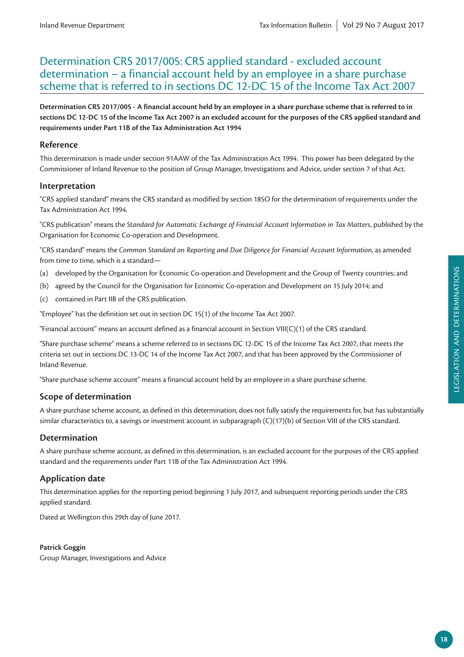## Determination CRS 2017/005: CRS applied standard - excluded account determination – a financial account held by an employee in a share purchase scheme that is referred to in sections DC 12-DC 15 of the Income Tax Act 2007

**Determination CRS 2017/005 - A financial account held by an employee in a share purchase scheme that is referred to in sections DC 12-DC 15 of the Income Tax Act 2007 is an excluded account for the purposes of the CRS applied standard and requirements under Part 11B of the Tax Administration Act 1994**

## **Reference**

This determination is made under section 91AAW of the Tax Administration Act 1994. This power has been delegated by the Commissioner of Inland Revenue to the position of Group Manager, Investigations and Advice, under section 7 of that Act.

## **Interpretation**

"CRS applied standard" means the CRS standard as modified by section 185O for the determination of requirements under the Tax Administration Act 1994.

"CRS publication" means the *Standard for Automatic Exchange of Financial Account Information in Tax Matters*, published by the Organisation for Economic Co-operation and Development.

"CRS standard" means the *Common Standard on Reporting and Due Diligence for Financial Account Information*, as amended from time to time, which is a standard—

- (a) developed by the Organisation for Economic Co-operation and Development and the Group of Twenty countries; and
- (b) agreed by the Council for the Organisation for Economic Co-operation and Development on 15 July 2014; and
- (c) contained in Part IIB of the CRS publication.

"Employee" has the definition set out in section DC 15(1) of the Income Tax Act 2007.

"Financial account" means an account defined as a financial account in Section VIII(C)(1) of the CRS standard.

"Share purchase scheme" means a scheme referred to in sections DC 12-DC 15 of the Income Tax Act 2007, that meets the criteria set out in sections DC 13-DC 14 of the Income Tax Act 2007, and that has been approved by the Commissioner of Inland Revenue.

"Share purchase scheme account" means a financial account held by an employee in a share purchase scheme.

## **Scope of determination**

A share purchase scheme account, as defined in this determination, does not fully satisfy the requirements for, but has substantially similar characteristics to, a savings or investment account in subparagraph (C)(17)(b) of Section VIII of the CRS standard.

## **Determination**

A share purchase scheme account, as defined in this determination, is an excluded account for the purposes of the CRS applied standard and the requirements under Part 11B of the Tax Administration Act 1994.

## **Application date**

This determination applies for the reporting period beginning 1 July 2017, and subsequent reporting periods under the CRS applied standard.

Dated at Wellington this 29th day of June 2017.

## **Patrick Goggin**

Group Manager, Investigations and Advice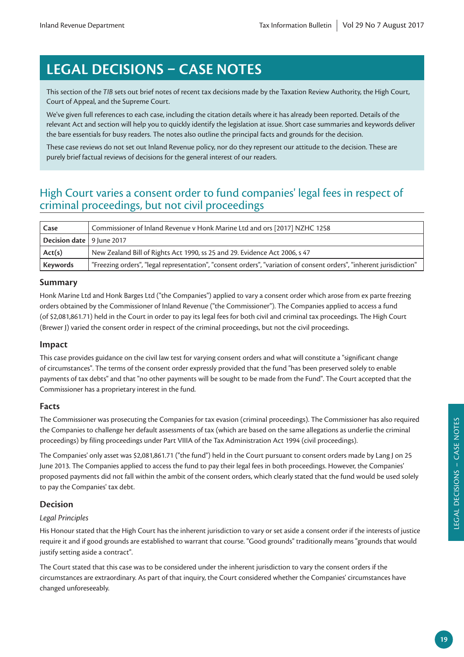# **LEGAL DECISIONS – CASE NOTES**

This section of the *TIB* sets out brief notes of recent tax decisions made by the Taxation Review Authority, the High Court, Court of Appeal, and the Supreme Court.

We've given full references to each case, including the citation details where it has already been reported. Details of the relevant Act and section will help you to quickly identify the legislation at issue. Short case summaries and keywords deliver the bare essentials for busy readers. The notes also outline the principal facts and grounds for the decision.

These case reviews do not set out Inland Revenue policy, nor do they represent our attitude to the decision. These are purely brief factual reviews of decisions for the general interest of our readers.

## High Court varies a consent order to fund companies' legal fees in respect of criminal proceedings, but not civil proceedings

| Case                               | Commissioner of Inland Revenue v Honk Marine Ltd and ors [2017] NZHC 1258                                           |
|------------------------------------|---------------------------------------------------------------------------------------------------------------------|
| <b>Decision date</b>   9 June 2017 |                                                                                                                     |
| Act(s)                             | New Zealand Bill of Rights Act 1990, ss 25 and 29. Evidence Act 2006, s 47                                          |
| Keywords                           | "Freezing orders", "legal representation", "consent orders", "variation of consent orders", "inherent jurisdiction" |

## **Summary**

Honk Marine Ltd and Honk Barges Ltd ("the Companies") applied to vary a consent order which arose from ex parte freezing orders obtained by the Commissioner of Inland Revenue ("the Commissioner"). The Companies applied to access a fund (of \$2,081,861.71) held in the Court in order to pay its legal fees for both civil and criminal tax proceedings. The High Court (Brewer J) varied the consent order in respect of the criminal proceedings, but not the civil proceedings.

## **Impact**

This case provides guidance on the civil law test for varying consent orders and what will constitute a "significant change of circumstances". The terms of the consent order expressly provided that the fund "has been preserved solely to enable payments of tax debts" and that "no other payments will be sought to be made from the Fund". The Court accepted that the Commissioner has a proprietary interest in the fund.

## **Facts**

The Commissioner was prosecuting the Companies for tax evasion (criminal proceedings). The Commissioner has also required the Companies to challenge her default assessments of tax (which are based on the same allegations as underlie the criminal proceedings) by filing proceedings under Part VIIIA of the Tax Administration Act 1994 (civil proceedings).

The Companies' only asset was \$2,081,861.71 ("the fund") held in the Court pursuant to consent orders made by Lang J on 25 June 2013. The Companies applied to access the fund to pay their legal fees in both proceedings. However, the Companies' proposed payments did not fall within the ambit of the consent orders, which clearly stated that the fund would be used solely to pay the Companies' tax debt.

## **Decision**

## *Legal Principles*

His Honour stated that the High Court has the inherent jurisdiction to vary or set aside a consent order if the interests of justice require it and if good grounds are established to warrant that course. "Good grounds" traditionally means "grounds that would justify setting aside a contract".

The Court stated that this case was to be considered under the inherent jurisdiction to vary the consent orders if the circumstances are extraordinary. As part of that inquiry, the Court considered whether the Companies' circumstances have changed unforeseeably.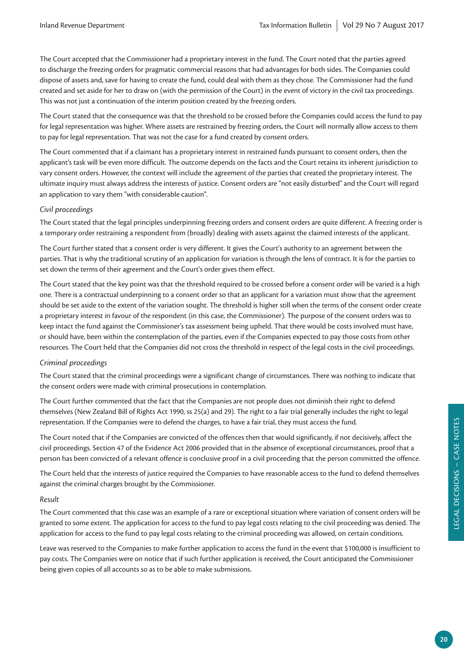The Court accepted that the Commissioner had a proprietary interest in the fund. The Court noted that the parties agreed to discharge the freezing orders for pragmatic commercial reasons that had advantages for both sides. The Companies could dispose of assets and, save for having to create the fund, could deal with them as they chose. The Commissioner had the fund created and set aside for her to draw on (with the permission of the Court) in the event of victory in the civil tax proceedings. This was not just a continuation of the interim position created by the freezing orders.

The Court stated that the consequence was that the threshold to be crossed before the Companies could access the fund to pay for legal representation was higher. Where assets are restrained by freezing orders, the Court will normally allow access to them to pay for legal representation. That was not the case for a fund created by consent orders.

The Court commented that if a claimant has a proprietary interest in restrained funds pursuant to consent orders, then the applicant's task will be even more difficult. The outcome depends on the facts and the Court retains its inherent jurisdiction to vary consent orders. However, the context will include the agreement of the parties that created the proprietary interest. The ultimate inquiry must always address the interests of justice. Consent orders are "not easily disturbed" and the Court will regard an application to vary them "with considerable caution".

## *Civil proceedings*

The Court stated that the legal principles underpinning freezing orders and consent orders are quite different. A freezing order is a temporary order restraining a respondent from (broadly) dealing with assets against the claimed interests of the applicant.

The Court further stated that a consent order is very different. It gives the Court's authority to an agreement between the parties. That is why the traditional scrutiny of an application for variation is through the lens of contract. It is for the parties to set down the terms of their agreement and the Court's order gives them effect.

The Court stated that the key point was that the threshold required to be crossed before a consent order will be varied is a high one. There is a contractual underpinning to a consent order so that an applicant for a variation must show that the agreement should be set aside to the extent of the variation sought. The threshold is higher still when the terms of the consent order create a proprietary interest in favour of the respondent (in this case, the Commissioner). The purpose of the consent orders was to keep intact the fund against the Commissioner's tax assessment being upheld. That there would be costs involved must have, or should have, been within the contemplation of the parties, even if the Companies expected to pay those costs from other resources. The Court held that the Companies did not cross the threshold in respect of the legal costs in the civil proceedings.

## *Criminal proceedings*

The Court stated that the criminal proceedings were a significant change of circumstances. There was nothing to indicate that the consent orders were made with criminal prosecutions in contemplation.

The Court further commented that the fact that the Companies are not people does not diminish their right to defend themselves (New Zealand Bill of Rights Act 1990, ss 25(a) and 29). The right to a fair trial generally includes the right to legal representation. If the Companies were to defend the charges, to have a fair trial, they must access the fund.

The Court noted that if the Companies are convicted of the offences then that would significantly, if not decisively, affect the civil proceedings. Section 47 of the Evidence Act 2006 provided that in the absence of exceptional circumstances, proof that a person has been convicted of a relevant offence is conclusive proof in a civil proceeding that the person committed the offence.

The Court held that the interests of justice required the Companies to have reasonable access to the fund to defend themselves against the criminal charges brought by the Commissioner.

## *Result*

The Court commented that this case was an example of a rare or exceptional situation where variation of consent orders will be granted to some extent. The application for access to the fund to pay legal costs relating to the civil proceeding was denied. The application for access to the fund to pay legal costs relating to the criminal proceeding was allowed, on certain conditions.

Leave was reserved to the Companies to make further application to access the fund in the event that \$100,000 is insufficient to pay costs. The Companies were on notice that if such further application is received, the Court anticipated the Commissioner being given copies of all accounts so as to be able to make submissions.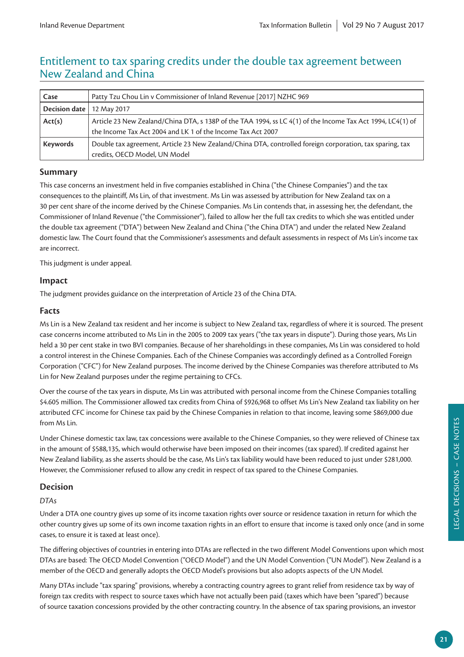## Entitlement to tax sparing credits under the double tax agreement between New Zealand and China

| Case                        | Patty Tzu Chou Lin v Commissioner of Inland Revenue [2017] NZHC 969                                        |  |
|-----------------------------|------------------------------------------------------------------------------------------------------------|--|
| Decision date   12 May 2017 |                                                                                                            |  |
| Act(s)                      | Article 23 New Zealand/China DTA, s 138P of the TAA 1994, ss LC 4(1) of the Income Tax Act 1994, LC4(1) of |  |
|                             | the Income Tax Act 2004 and LK 1 of the Income Tax Act 2007                                                |  |
| <b>Keywords</b>             | Double tax agreement, Article 23 New Zealand/China DTA, controlled foreign corporation, tax sparing, tax   |  |
|                             | credits, OECD Model, UN Model                                                                              |  |

## **Summary**

This case concerns an investment held in five companies established in China ("the Chinese Companies") and the tax consequences to the plaintiff, Ms Lin, of that investment. Ms Lin was assessed by attribution for New Zealand tax on a 30 per cent share of the income derived by the Chinese Companies. Ms Lin contends that, in assessing her, the defendant, the Commissioner of Inland Revenue ("the Commissioner"), failed to allow her the full tax credits to which she was entitled under the double tax agreement ("DTA") between New Zealand and China ("the China DTA") and under the related New Zealand domestic law. The Court found that the Commissioner's assessments and default assessments in respect of Ms Lin's income tax are incorrect.

This judgment is under appeal.

## **Impact**

The judgment provides guidance on the interpretation of Article 23 of the China DTA.

## **Facts**

Ms Lin is a New Zealand tax resident and her income is subject to New Zealand tax, regardless of where it is sourced. The present case concerns income attributed to Ms Lin in the 2005 to 2009 tax years ("the tax years in dispute"). During those years, Ms Lin held a 30 per cent stake in two BVI companies. Because of her shareholdings in these companies, Ms Lin was considered to hold a control interest in the Chinese Companies. Each of the Chinese Companies was accordingly defined as a Controlled Foreign Corporation ("CFC") for New Zealand purposes. The income derived by the Chinese Companies was therefore attributed to Ms Lin for New Zealand purposes under the regime pertaining to CFCs.

Over the course of the tax years in dispute, Ms Lin was attributed with personal income from the Chinese Companies totalling \$4.605 million. The Commissioner allowed tax credits from China of \$926,968 to offset Ms Lin's New Zealand tax liability on her attributed CFC income for Chinese tax paid by the Chinese Companies in relation to that income, leaving some \$869,000 due from Ms Lin.

Under Chinese domestic tax law, tax concessions were available to the Chinese Companies, so they were relieved of Chinese tax in the amount of \$588,135, which would otherwise have been imposed on their incomes (tax spared). If credited against her New Zealand liability, as she asserts should be the case, Ms Lin's tax liability would have been reduced to just under \$281,000. However, the Commissioner refused to allow any credit in respect of tax spared to the Chinese Companies.

## **Decision**

## *DTAs*

Under a DTA one country gives up some of its income taxation rights over source or residence taxation in return for which the other country gives up some of its own income taxation rights in an effort to ensure that income is taxed only once (and in some cases, to ensure it is taxed at least once).

The differing objectives of countries in entering into DTAs are reflected in the two different Model Conventions upon which most DTAs are based: The OECD Model Convention ("OECD Model") and the UN Model Convention ("UN Model"). New Zealand is a member of the OECD and generally adopts the OECD Model's provisions but also adopts aspects of the UN Model.

Many DTAs include "tax sparing" provisions, whereby a contracting country agrees to grant relief from residence tax by way of foreign tax credits with respect to source taxes which have not actually been paid (taxes which have been "spared") because of source taxation concessions provided by the other contracting country. In the absence of tax sparing provisions, an investor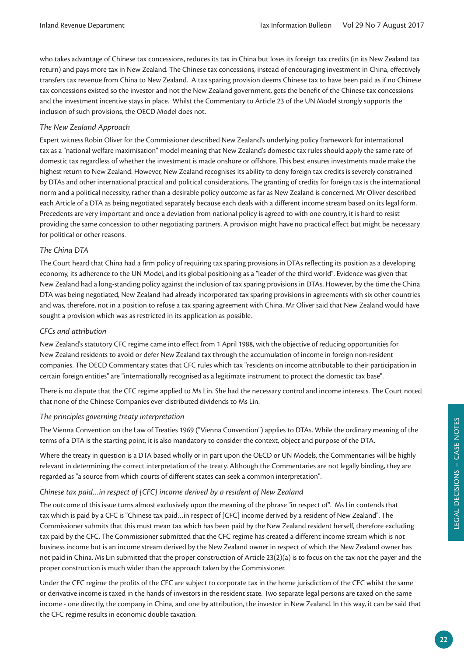who takes advantage of Chinese tax concessions, reduces its tax in China but loses its foreign tax credits (in its New Zealand tax return) and pays more tax in New Zealand. The Chinese tax concessions, instead of encouraging investment in China, effectively transfers tax revenue from China to New Zealand. A tax sparing provision deems Chinese tax to have been paid as if no Chinese tax concessions existed so the investor and not the New Zealand government, gets the benefit of the Chinese tax concessions and the investment incentive stays in place. Whilst the Commentary to Article 23 of the UN Model strongly supports the inclusion of such provisions, the OECD Model does not.

## *The New Zealand Approach*

Expert witness Robin Oliver for the Commissioner described New Zealand's underlying policy framework for international tax as a "national welfare maximisation" model meaning that New Zealand's domestic tax rules should apply the same rate of domestic tax regardless of whether the investment is made onshore or offshore. This best ensures investments made make the highest return to New Zealand. However, New Zealand recognises its ability to deny foreign tax credits is severely constrained by DTAs and other international practical and political considerations. The granting of credits for foreign tax is the international norm and a political necessity, rather than a desirable policy outcome as far as New Zealand is concerned. Mr Oliver described each Article of a DTA as being negotiated separately because each deals with a different income stream based on its legal form. Precedents are very important and once a deviation from national policy is agreed to with one country, it is hard to resist providing the same concession to other negotiating partners. A provision might have no practical effect but might be necessary for political or other reasons.

## *The China DTA*

The Court heard that China had a firm policy of requiring tax sparing provisions in DTAs reflecting its position as a developing economy, its adherence to the UN Model, and its global positioning as a "leader of the third world". Evidence was given that New Zealand had a long-standing policy against the inclusion of tax sparing provisions in DTAs. However, by the time the China DTA was being negotiated, New Zealand had already incorporated tax sparing provisions in agreements with six other countries and was, therefore, not in a position to refuse a tax sparing agreement with China. Mr Oliver said that New Zealand would have sought a provision which was as restricted in its application as possible.

## *CFCs and attribution*

New Zealand's statutory CFC regime came into effect from 1 April 1988, with the objective of reducing opportunities for New Zealand residents to avoid or defer New Zealand tax through the accumulation of income in foreign non-resident companies. The OECD Commentary states that CFC rules which tax "residents on income attributable to their participation in certain foreign entities" are "internationally recognised as a legitimate instrument to protect the domestic tax base".

There is no dispute that the CFC regime applied to Ms Lin. She had the necessary control and income interests. The Court noted that none of the Chinese Companies ever distributed dividends to Ms Lin.

#### *The principles governing treaty interpretation*

The Vienna Convention on the Law of Treaties 1969 ("Vienna Convention") applies to DTAs. While the ordinary meaning of the terms of a DTA is the starting point, it is also mandatory to consider the context, object and purpose of the DTA.

Where the treaty in question is a DTA based wholly or in part upon the OECD or UN Models, the Commentaries will be highly relevant in determining the correct interpretation of the treaty. Although the Commentaries are not legally binding, they are regarded as "a source from which courts of different states can seek a common interpretation".

## *Chinese tax paid…in respect of [CFC] income derived by a resident of New Zealand*

The outcome of this issue turns almost exclusively upon the meaning of the phrase "in respect of". Ms Lin contends that tax which is paid by a CFC is "Chinese tax paid…in respect of [CFC] income derived by a resident of New Zealand". The Commissioner submits that this must mean tax which has been paid by the New Zealand resident herself, therefore excluding tax paid by the CFC. The Commissioner submitted that the CFC regime has created a different income stream which is not business income but is an income stream derived by the New Zealand owner in respect of which the New Zealand owner has not paid in China. Ms Lin submitted that the proper construction of Article 23(2)(a) is to focus on the tax not the payer and the proper construction is much wider than the approach taken by the Commissioner.

Under the CFC regime the profits of the CFC are subject to corporate tax in the home jurisdiction of the CFC whilst the same or derivative income is taxed in the hands of investors in the resident state. Two separate legal persons are taxed on the same income - one directly, the company in China, and one by attribution, the investor in New Zealand. In this way, it can be said that the CFC regime results in economic double taxation.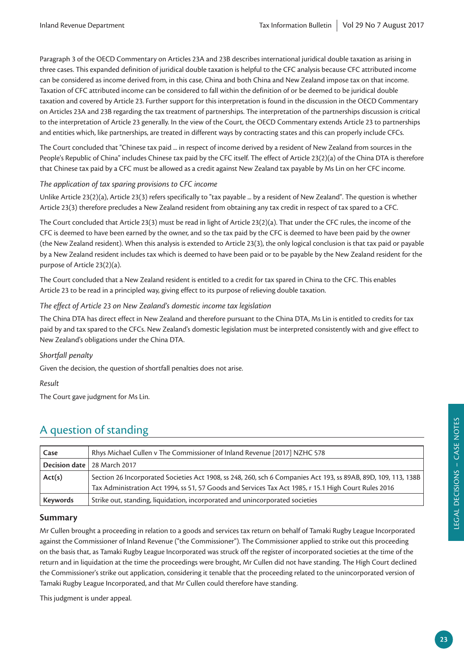Paragraph 3 of the OECD Commentary on Articles 23A and 23B describes international juridical double taxation as arising in three cases. This expanded definition of juridical double taxation is helpful to the CFC analysis because CFC attributed income can be considered as income derived from, in this case, China and both China and New Zealand impose tax on that income. Taxation of CFC attributed income can be considered to fall within the definition of or be deemed to be juridical double taxation and covered by Article 23. Further support for this interpretation is found in the discussion in the OECD Commentary on Articles 23A and 23B regarding the tax treatment of partnerships. The interpretation of the partnerships discussion is critical to the interpretation of Article 23 generally. In the view of the Court, the OECD Commentary extends Article 23 to partnerships and entities which, like partnerships, are treated in different ways by contracting states and this can properly include CFCs.

The Court concluded that "Chinese tax paid ... in respect of income derived by a resident of New Zealand from sources in the People's Republic of China" includes Chinese tax paid by the CFC itself. The effect of Article 23(2)(a) of the China DTA is therefore that Chinese tax paid by a CFC must be allowed as a credit against New Zealand tax payable by Ms Lin on her CFC income.

## *The application of tax sparing provisions to CFC income*

Unlike Article 23(2)(a), Article 23(3) refers specifically to "tax payable ... by a resident of New Zealand". The question is whether Article 23(3) therefore precludes a New Zealand resident from obtaining any tax credit in respect of tax spared to a CFC.

The Court concluded that Article 23(3) must be read in light of Article 23(2)(a). That under the CFC rules, the income of the CFC is deemed to have been earned by the owner, and so the tax paid by the CFC is deemed to have been paid by the owner (the New Zealand resident). When this analysis is extended to Article 23(3), the only logical conclusion is that tax paid or payable by a New Zealand resident includes tax which is deemed to have been paid or to be payable by the New Zealand resident for the purpose of Article 23(2)(a).

The Court concluded that a New Zealand resident is entitled to a credit for tax spared in China to the CFC. This enables Article 23 to be read in a principled way, giving effect to its purpose of relieving double taxation.

## *The effect of Article 23 on New Zealand's domestic income tax legislation*

The China DTA has direct effect in New Zealand and therefore pursuant to the China DTA, Ms Lin is entitled to credits for tax paid by and tax spared to the CFCs. New Zealand's domestic legislation must be interpreted consistently with and give effect to New Zealand's obligations under the China DTA.

## *Shortfall penalty*

Given the decision, the question of shortfall penalties does not arise.

*Result*

The Court gave judgment for Ms Lin.

## A question of standing

| Case     | Rhys Michael Cullen v The Commissioner of Inland Revenue [2017] NZHC 578                                       |
|----------|----------------------------------------------------------------------------------------------------------------|
|          | <b>Decision date</b> 28 March 2017                                                                             |
| Act(s)   | Section 26 Incorporated Societies Act 1908, ss 248, 260, sch 6 Companies Act 193, ss 89AB, 89D, 109, 113, 138B |
|          | Tax Administration Act 1994, ss 51, 57 Goods and Services Tax Act 1985, r 15.1 High Court Rules 2016           |
| Keywords | Strike out, standing, liquidation, incorporated and unincorporated societies                                   |

## **Summary**

Mr Cullen brought a proceeding in relation to a goods and services tax return on behalf of Tamaki Rugby League Incorporated against the Commissioner of Inland Revenue ("the Commissioner"). The Commissioner applied to strike out this proceeding on the basis that, as Tamaki Rugby League Incorporated was struck off the register of incorporated societies at the time of the return and in liquidation at the time the proceedings were brought, Mr Cullen did not have standing. The High Court declined the Commissioner's strike out application, considering it tenable that the proceeding related to the unincorporated version of Tamaki Rugby League Incorporated, and that Mr Cullen could therefore have standing.

This judgment is under appeal.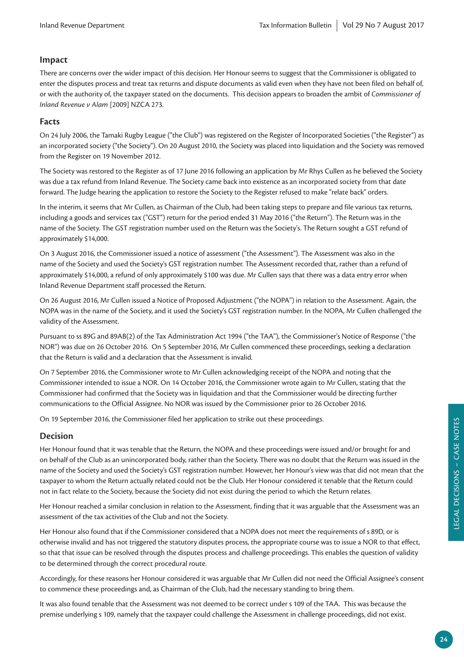## **Impact**

There are concerns over the wider impact of this decision. Her Honour seems to suggest that the Commissioner is obligated to enter the disputes process and treat tax returns and dispute documents as valid even when they have not been filed on behalf of, or with the authority of, the taxpayer stated on the documents. This decision appears to broaden the ambit of *Commissioner of Inland Revenue v Alam* [2009] NZCA 273.

## **Facts**

On 24 July 2006, the Tamaki Rugby League ("the Club") was registered on the Register of Incorporated Societies ("the Register") as an incorporated society ("the Society"). On 20 August 2010, the Society was placed into liquidation and the Society was removed from the Register on 19 November 2012.

The Society was restored to the Register as of 17 June 2016 following an application by Mr Rhys Cullen as he believed the Society was due a tax refund from Inland Revenue. The Society came back into existence as an incorporated society from that date forward. The Judge hearing the application to restore the Society to the Register refused to make "relate back" orders.

In the interim, it seems that Mr Cullen, as Chairman of the Club, had been taking steps to prepare and file various tax returns, including a goods and services tax ("GST") return for the period ended 31 May 2016 ("the Return"). The Return was in the name of the Society. The GST registration number used on the Return was the Society's. The Return sought a GST refund of approximately \$14,000.

On 3 August 2016, the Commissioner issued a notice of assessment ("the Assessment"). The Assessment was also in the name of the Society and used the Society's GST registration number. The Assessment recorded that, rather than a refund of approximately \$14,000, a refund of only approximately \$100 was due. Mr Cullen says that there was a data entry error when Inland Revenue Department staff processed the Return.

On 26 August 2016, Mr Cullen issued a Notice of Proposed Adjustment ("the NOPA") in relation to the Assessment. Again, the NOPA was in the name of the Society, and it used the Society's GST registration number. In the NOPA, Mr Cullen challenged the validity of the Assessment.

Pursuant to ss 89G and 89AB(2) of the Tax Administration Act 1994 ("the TAA"), the Commissioner's Notice of Response ("the NOR") was due on 26 October 2016. On 5 September 2016, Mr Cullen commenced these proceedings, seeking a declaration that the Return is valid and a declaration that the Assessment is invalid.

On 7 September 2016, the Commissioner wrote to Mr Cullen acknowledging receipt of the NOPA and noting that the Commissioner intended to issue a NOR. On 14 October 2016, the Commissioner wrote again to Mr Cullen, stating that the Commissioner had confirmed that the Society was in liquidation and that the Commissioner would be directing further communications to the Official Assignee. No NOR was issued by the Commissioner prior to 26 October 2016.

On 19 September 2016, the Commissioner filed her application to strike out these proceedings.

## **Decision**

Her Honour found that it was tenable that the Return, the NOPA and these proceedings were issued and/or brought for and on behalf of the Club as an unincorporated body, rather than the Society. There was no doubt that the Return was issued in the name of the Society and used the Society's GST registration number. However, her Honour's view was that did not mean that the taxpayer to whom the Return actually related could not be the Club. Her Honour considered it tenable that the Return could not in fact relate to the Society, because the Society did not exist during the period to which the Return relates.

Her Honour reached a similar conclusion in relation to the Assessment, finding that it was arguable that the Assessment was an assessment of the tax activities of the Club and not the Society.

Her Honour also found that if the Commissioner considered that a NOPA does not meet the requirements of s 89D, or is otherwise invalid and has not triggered the statutory disputes process, the appropriate course was to issue a NOR to that effect, so that that issue can be resolved through the disputes process and challenge proceedings. This enables the question of validity to be determined through the correct procedural route.

Accordingly, for these reasons her Honour considered it was arguable that Mr Cullen did not need the Official Assignee's consent to commence these proceedings and, as Chairman of the Club, had the necessary standing to bring them.

It was also found tenable that the Assessment was not deemed to be correct under s 109 of the TAA. This was because the premise underlying s 109, namely that the taxpayer could challenge the Assessment in challenge proceedings, did not exist.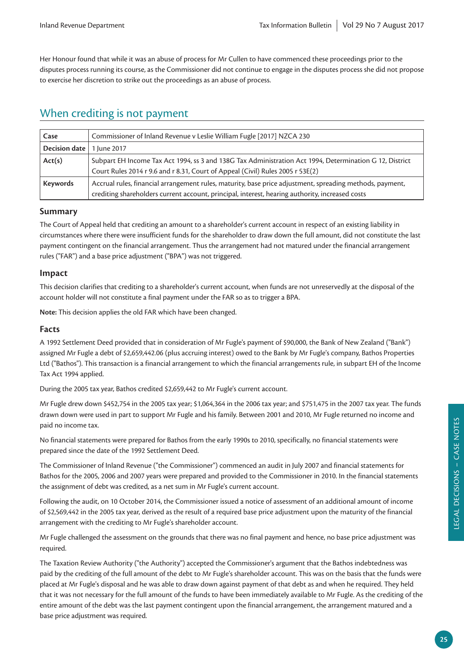Her Honour found that while it was an abuse of process for Mr Cullen to have commenced these proceedings prior to the disputes process running its course, as the Commissioner did not continue to engage in the disputes process she did not propose to exercise her discretion to strike out the proceedings as an abuse of process.

## When crediting is not payment

| Case            | Commissioner of Inland Revenue v Leslie William Fugle [2017] NZCA 230                                    |
|-----------------|----------------------------------------------------------------------------------------------------------|
| Decision date   | 1 June 2017                                                                                              |
| Act(s)          | Subpart EH Income Tax Act 1994, ss 3 and 138G Tax Administration Act 1994, Determination G 12, District  |
|                 | Court Rules 2014 r 9.6 and r 8.31, Court of Appeal (Civil) Rules 2005 r 53E(2)                           |
| <b>Keywords</b> | Accrual rules, financial arrangement rules, maturity, base price adjustment, spreading methods, payment, |
|                 | crediting shareholders current account, principal, interest, hearing authority, increased costs          |

## **Summary**

The Court of Appeal held that crediting an amount to a shareholder's current account in respect of an existing liability in circumstances where there were insufficient funds for the shareholder to draw down the full amount, did not constitute the last payment contingent on the financial arrangement. Thus the arrangement had not matured under the financial arrangement rules ("FAR") and a base price adjustment ("BPA") was not triggered.

## **Impact**

This decision clarifies that crediting to a shareholder's current account, when funds are not unreservedly at the disposal of the account holder will not constitute a final payment under the FAR so as to trigger a BPA.

**Note:** This decision applies the old FAR which have been changed.

## **Facts**

A 1992 Settlement Deed provided that in consideration of Mr Fugle's payment of \$90,000, the Bank of New Zealand ("Bank") assigned Mr Fugle a debt of \$2,659,442.06 (plus accruing interest) owed to the Bank by Mr Fugle's company, Bathos Properties Ltd ("Bathos"). This transaction is a financial arrangement to which the financial arrangements rule, in subpart EH of the Income Tax Act 1994 applied.

During the 2005 tax year, Bathos credited \$2,659,442 to Mr Fugle's current account.

Mr Fugle drew down \$452,754 in the 2005 tax year; \$1,064,364 in the 2006 tax year; and \$751,475 in the 2007 tax year. The funds drawn down were used in part to support Mr Fugle and his family. Between 2001 and 2010, Mr Fugle returned no income and paid no income tax.

No financial statements were prepared for Bathos from the early 1990s to 2010, specifically, no financial statements were prepared since the date of the 1992 Settlement Deed.

The Commissioner of Inland Revenue ("the Commissioner") commenced an audit in July 2007 and financial statements for Bathos for the 2005, 2006 and 2007 years were prepared and provided to the Commissioner in 2010. In the financial statements the assignment of debt was credited, as a net sum in Mr Fugle's current account.

Following the audit, on 10 October 2014, the Commissioner issued a notice of assessment of an additional amount of income of \$2,569,442 in the 2005 tax year, derived as the result of a required base price adjustment upon the maturity of the financial arrangement with the crediting to Mr Fugle's shareholder account.

Mr Fugle challenged the assessment on the grounds that there was no final payment and hence, no base price adjustment was required.

The Taxation Review Authority ("the Authority") accepted the Commissioner's argument that the Bathos indebtedness was paid by the crediting of the full amount of the debt to Mr Fugle's shareholder account. This was on the basis that the funds were placed at Mr Fugle's disposal and he was able to draw down against payment of that debt as and when he required. They held that it was not necessary for the full amount of the funds to have been immediately available to Mr Fugle. As the crediting of the entire amount of the debt was the last payment contingent upon the financial arrangement, the arrangement matured and a base price adjustment was required.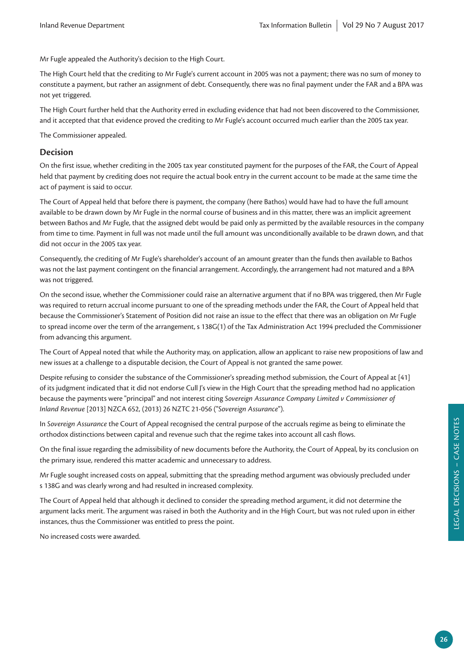Mr Fugle appealed the Authority's decision to the High Court.

The High Court held that the crediting to Mr Fugle's current account in 2005 was not a payment; there was no sum of money to constitute a payment, but rather an assignment of debt. Consequently, there was no final payment under the FAR and a BPA was not yet triggered.

The High Court further held that the Authority erred in excluding evidence that had not been discovered to the Commissioner, and it accepted that that evidence proved the crediting to Mr Fugle's account occurred much earlier than the 2005 tax year.

The Commissioner appealed.

## **Decision**

On the first issue, whether crediting in the 2005 tax year constituted payment for the purposes of the FAR, the Court of Appeal held that payment by crediting does not require the actual book entry in the current account to be made at the same time the act of payment is said to occur.

The Court of Appeal held that before there is payment, the company (here Bathos) would have had to have the full amount available to be drawn down by Mr Fugle in the normal course of business and in this matter, there was an implicit agreement between Bathos and Mr Fugle, that the assigned debt would be paid only as permitted by the available resources in the company from time to time. Payment in full was not made until the full amount was unconditionally available to be drawn down, and that did not occur in the 2005 tax year.

Consequently, the crediting of Mr Fugle's shareholder's account of an amount greater than the funds then available to Bathos was not the last payment contingent on the financial arrangement. Accordingly, the arrangement had not matured and a BPA was not triggered.

On the second issue, whether the Commissioner could raise an alternative argument that if no BPA was triggered, then Mr Fugle was required to return accrual income pursuant to one of the spreading methods under the FAR, the Court of Appeal held that because the Commissioner's Statement of Position did not raise an issue to the effect that there was an obligation on Mr Fugle to spread income over the term of the arrangement, s 138G(1) of the Tax Administration Act 1994 precluded the Commissioner from advancing this argument.

The Court of Appeal noted that while the Authority may, on application, allow an applicant to raise new propositions of law and new issues at a challenge to a disputable decision, the Court of Appeal is not granted the same power.

Despite refusing to consider the substance of the Commissioner's spreading method submission, the Court of Appeal at [41] of its judgment indicated that it did not endorse Cull J's view in the High Court that the spreading method had no application because the payments were "principal" and not interest citing *Sovereign Assurance Company Limited v Commissioner of Inland Revenue* [2013] NZCA 652, (2013) 26 NZTC 21-056 ("*Sovereign Assurance*").

In *Sovereign Assurance* the Court of Appeal recognised the central purpose of the accruals regime as being to eliminate the orthodox distinctions between capital and revenue such that the regime takes into account all cash flows.

On the final issue regarding the admissibility of new documents before the Authority, the Court of Appeal, by its conclusion on the primary issue, rendered this matter academic and unnecessary to address.

Mr Fugle sought increased costs on appeal, submitting that the spreading method argument was obviously precluded under s 138G and was clearly wrong and had resulted in increased complexity.

The Court of Appeal held that although it declined to consider the spreading method argument, it did not determine the argument lacks merit. The argument was raised in both the Authority and in the High Court, but was not ruled upon in either instances, thus the Commissioner was entitled to press the point.

No increased costs were awarded.